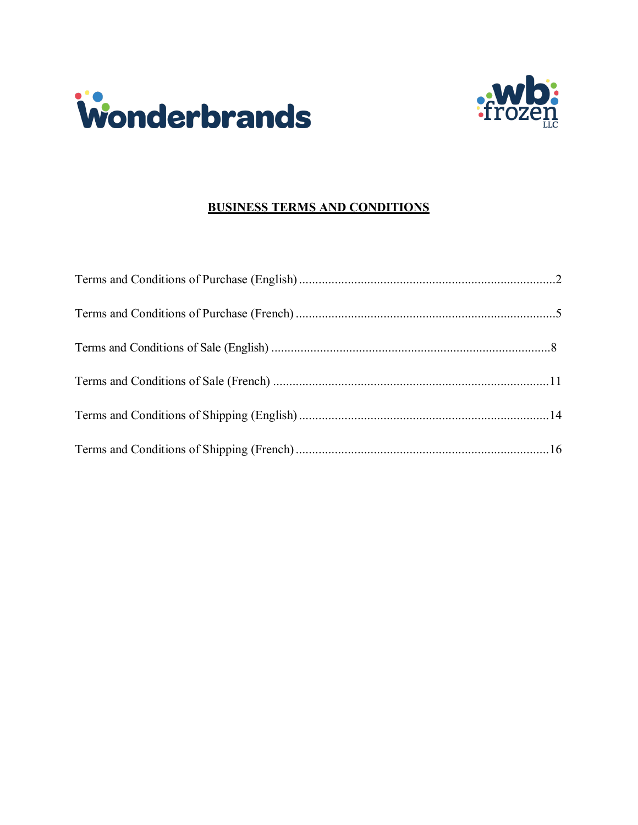



## **BUSINESS TERMS AND CONDITIONS**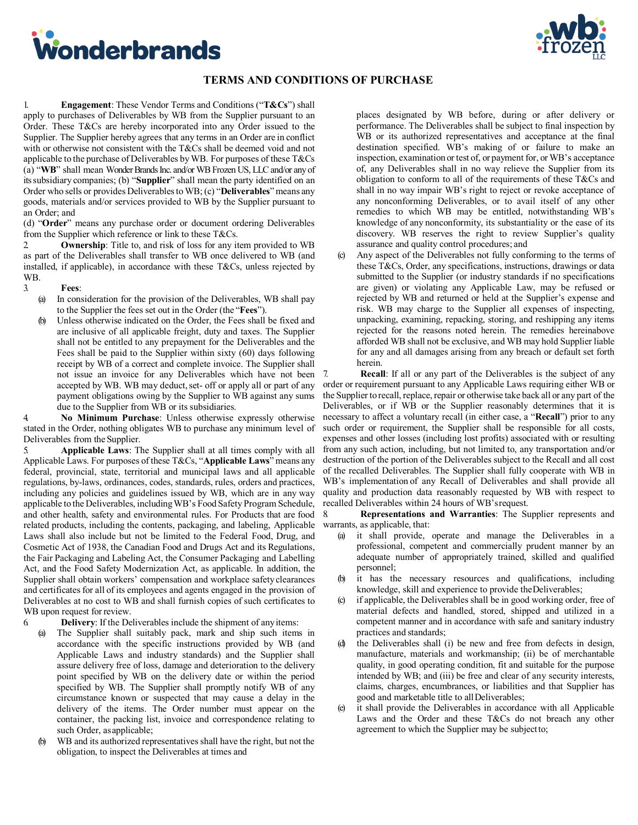<span id="page-1-0"></span>



### **TERMS AND CONDITIONS OF PURCHASE**

1. **Engagement**: These Vendor Terms and Conditions ("**T&Cs**") shall apply to purchases of Deliverables by WB from the Supplier pursuant to an Order. These T&Cs are hereby incorporated into any Order issued to the Supplier. The Supplier hereby agrees that any terms in an Order are in conflict with or otherwise not consistent with the T&Cs shall be deemed void and not applicable to the purchase of Deliverables by WB. For purposes of these T&Cs (a) "**WB**" shall mean Wonder Brands Inc. and/or WB Frozen US, LLCand/or any of its subsidiary companies; (b) "**Supplier**" shall mean the party identified on an Order who sells or provides Deliverablesto WB; (c) "**Deliverables**" means any goods, materials and/or services provided to WB by the Supplier pursuant to an Order; and

(d) "**Order**" means any purchase order or document ordering Deliverables from the Supplier which reference or link to these T&Cs.

2. **Ownership**: Title to, and risk of loss for any item provided to WB as part of the Deliverables shall transfer to WB once delivered to WB (and installed, if applicable), in accordance with these T&Cs, unless rejected by WB.

#### 3. **Fees**:

- (a) In consideration for the provision of the Deliverables, WB shall pay to the Supplier the fees set out in the Order (the "**Fees**").
- (b) Unless otherwise indicated on the Order, the Fees shall be fixed and are inclusive of all applicable freight, duty and taxes. The Supplier shall not be entitled to any prepayment for the Deliverables and the Fees shall be paid to the Supplier within sixty (60) days following receipt by WB of a correct and complete invoice. The Supplier shall not issue an invoice for any Deliverables which have not been accepted by WB. WB may deduct, set- off or apply all or part of any payment obligations owing by the Supplier to WB against any sums due to the Supplier from WB or its subsidiaries.

4. **No Minimum Purchase**: Unless otherwise expressly otherwise stated in the Order, nothing obligates WB to purchase any minimum level of Deliverables from the Supplier.

5. **Applicable Laws**: The Supplier shall at all times comply with all Applicable Laws. For purposes of these T&Cs, "**Applicable Laws**" means any federal, provincial, state, territorial and municipal laws and all applicable regulations, by-laws, ordinances, codes, standards, rules, orders and practices, including any policies and guidelines issued by WB, which are in any way applicable to the Deliverables, including WB's Food Safety Program Schedule, and other health, safety and environmental rules. For Products that are food related products, including the contents, packaging, and labeling, Applicable Laws shall also include but not be limited to the Federal Food, Drug, and Cosmetic Act of 1938, the Canadian Food and Drugs Act and its Regulations, the Fair Packaging and Labeling Act, the Consumer Packaging and Labelling Act, and the Food Safety Modernization Act, as applicable. In addition, the Supplier shall obtain workers' compensation and workplace safety clearances and certificates for all of its employees and agents engaged in the provision of Deliverables at no cost to WB and shall furnish copies of such certificates to WB upon request for review.

6. **Delivery**: If the Deliverables include the shipment of any items:

- The Supplier shall suitably pack, mark and ship such items in accordance with the specific instructions provided by WB (and Applicable Laws and industry standards) and the Supplier shall assure delivery free of loss, damage and deterioration to the delivery point specified by WB on the delivery date or within the period specified by WB. The Supplier shall promptly notify WB of any circumstance known or suspected that may cause a delay in the delivery of the items. The Order number must appear on the container, the packing list, invoice and correspondence relating to such Order, asapplicable;
- (b) WB and its authorized representatives shall have the right, but not the obligation, to inspect the Deliverables at times and

places designated by WB before, during or after delivery or performance. The Deliverables shall be subject to final inspection by WB or its authorized representatives and acceptance at the final destination specified. WB's making of or failure to make an inspection, examination or test of, or payment for, or WB's acceptance of, any Deliverables shall in no way relieve the Supplier from its obligation to conform to all of the requirements of these T&Cs and shall in no way impair WB's right to reject or revoke acceptance of any nonconforming Deliverables, or to avail itself of any other remedies to which WB may be entitled, notwithstanding WB's knowledge of any nonconformity, its substantiality or the ease of its discovery. WB reserves the right to review Supplier's quality assurance and quality control procedures; and

(c) Any aspect of the Deliverables not fully conforming to the terms of these T&Cs, Order, any specifications, instructions, drawings or data submitted to the Supplier (or industry standards if no specifications are given) or violating any Applicable Law, may be refused or rejected by WB and returned or held at the Supplier's expense and risk. WB may charge to the Supplier all expenses of inspecting, unpacking, examining, repacking, storing, and reshipping any items rejected for the reasons noted herein. The remedies hereinabove afforded WB shall not be exclusive, and WB may hold Supplier liable for any and all damages arising from any breach or default set forth herein.

7. **Recall**: If all or any part of the Deliverables is the subject of any order or requirement pursuant to any Applicable Laws requiring either WB or the Supplier to recall, replace, repair or otherwise take back all or any part of the Deliverables, or if WB or the Supplier reasonably determines that it is necessary to affect a voluntary recall (in either case, a "**Recall**") prior to any such order or requirement, the Supplier shall be responsible for all costs, expenses and other losses (including lost profits) associated with or resulting from any such action, including, but not limited to, any transportation and/or destruction of the portion of the Deliverables subject to the Recall and all cost of the recalled Deliverables. The Supplier shall fully cooperate with WB in WB's implementation of any Recall of Deliverables and shall provide all quality and production data reasonably requested by WB with respect to recalled Deliverables within 24 hours of WB's request.

8. **Representations and Warranties**: The Supplier represents and warrants, as applicable, that:

- (a) it shall provide, operate and manage the Deliverables in a professional, competent and commercially prudent manner by an adequate number of appropriately trained, skilled and qualified personnel;
- (b) it has the necessary resources and qualifications, including knowledge, skill and experience to provide theDeliverables;
- if applicable, the Deliverables shall be in good working order, free of material defects and handled, stored, shipped and utilized in a competent manner and in accordance with safe and sanitary industry practices and standards;
- the Deliverables shall (i) be new and free from defects in design, manufacture, materials and workmanship; (ii) be of merchantable quality, in good operating condition, fit and suitable for the purpose intended by WB; and (iii) be free and clear of any security interests, claims, charges, encumbrances, or liabilities and that Supplier has good and marketable title to allDeliverables;
- (e) it shall provide the Deliverables in accordance with all Applicable Laws and the Order and these T&Cs do not breach any other agreement to which the Supplier may be subjectto;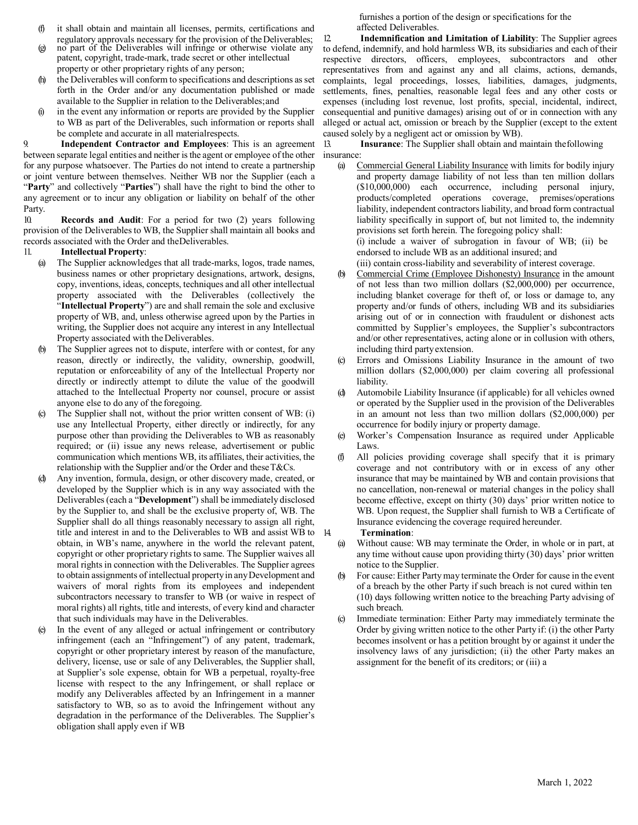- (f) it shall obtain and maintain all licenses, permits, certifications and regulatory approvals necessary for the provision of the Deliverables;
- (g) no part of the Deliverables will infringe or otherwise violate any patent, copyright, trade-mark, trade secret or other intellectual property or other proprietary rights of any person;
- the Deliverables will conform to specifications and descriptions as set forth in the Order and/or any documentation published or made available to the Supplier in relation to the Deliverables; and
- (i) in the event any information or reports are provided by the Supplier to WB as part of the Deliverables, such information or reports shall be complete and accurate in all materialrespects.

9. **Independent Contractor and Employees**: This is an agreement between separate legal entities and neither is the agent or employee of the other for any purpose whatsoever. The Parties do not intend to create a partnership or joint venture between themselves. Neither WB nor the Supplier (each a "**Party**" and collectively "**Parties**") shall have the right to bind the other to any agreement or to incur any obligation or liability on behalf of the other Party.

10. **Records and Audit**: For a period for two (2) years following provision of the Deliverablesto WB, the Supplier shall maintain all books and records associated with the Order and theDeliverables.

- 11. **Intellectual Property**:
	- (a) The Supplier acknowledges that all trade-marks, logos, trade names, business names or other proprietary designations, artwork, designs, copy, inventions, ideas, concepts, techniques and all other intellectual property associated with the Deliverables (collectively the "**Intellectual Property**") are and shall remain the sole and exclusive property of WB, and, unless otherwise agreed upon by the Parties in writing, the Supplier does not acquire any interest in any Intellectual Property associated with the Deliverables.
	- (b) The Supplier agrees not to dispute, interfere with or contest, for any reason, directly or indirectly, the validity, ownership, goodwill, reputation or enforceability of any of the Intellectual Property nor directly or indirectly attempt to dilute the value of the goodwill attached to the Intellectual Property nor counsel, procure or assist anyone else to do any of the foregoing.
	- (c) The Supplier shall not, without the prior written consent of WB: (i) use any Intellectual Property, either directly or indirectly, for any purpose other than providing the Deliverables to WB as reasonably required; or (ii) issue any news release, advertisement or public communication which mentions WB, its affiliates, their activities, the relationship with the Supplier and/or the Order and these  $T\&Cs$ .
	- Any invention, formula, design, or other discovery made, created, or developed by the Supplier which is in any way associated with the Deliverables(each a "**Development**") shall be immediately disclosed by the Supplier to, and shall be the exclusive property of, WB. The Supplier shall do all things reasonably necessary to assign all right, title and interest in and to the Deliverables to WB and assist WB to obtain, in WB's name, anywhere in the world the relevant patent, copyright or other proprietary rights to same. The Supplier waives all moral rights in connection with the Deliverables. The Supplier agrees to obtain assignments of intellectual property in any Development and waivers of moral rights from its employees and independent subcontractors necessary to transfer to WB (or waive in respect of moral rights) all rights, title and interests, of every kind and character that such individuals may have in the Deliverables.
	- (e) In the event of any alleged or actual infringement or contributory infringement (each an "Infringement") of any patent, trademark, copyright or other proprietary interest by reason of the manufacture, delivery, license, use or sale of any Deliverables, the Supplier shall, at Supplier's sole expense, obtain for WB a perpetual, royalty-free license with respect to the any Infringement, or shall replace or modify any Deliverables affected by an Infringement in a manner satisfactory to WB, so as to avoid the Infringement without any degradation in the performance of the Deliverables. The Supplier's obligation shall apply even if WB

furnishes a portion of the design or specifications for the affected Deliverables.

12. **Indemnification and Limitation of Liability**: The Supplier agrees to defend, indemnify, and hold harmless WB, its subsidiaries and each of their respective directors, officers, employees, subcontractors and other representatives from and against any and all claims, actions, demands, complaints, legal proceedings, losses, liabilities, damages, judgments, settlements, fines, penalties, reasonable legal fees and any other costs or expenses (including lost revenue, lost profits, special, incidental, indirect, consequential and punitive damages) arising out of or in connection with any alleged or actual act, omission or breach by the Supplier (except to the extent caused solely by a negligent act or omission by WB).

13. **Insurance**: The Supplier shall obtain and maintain thefollowing insurance:

- (a) Commercial General Liability Insurance with limits for bodily injury and property damage liability of not less than ten million dollars (\$10,000,000) each occurrence, including personal injury, products/completed operations coverage, premises/operations liability, independent contractors liability, and broad form contractual liability specifically in support of, but not limited to, the indemnity provisions set forth herein. The foregoing policy shall: (i) include a waiver of subrogation in favour of WB; (ii) be endorsed to include WB as an additional insured; and (iii) contain cross-liability and severability of interest coverage.
- (b) Commercial Crime (Employee Dishonesty) Insurance in the amount of not less than two million dollars (\$2,000,000) per occurrence, including blanket coverage for theft of, or loss or damage to, any property and/or funds of others, including WB and its subsidiaries arising out of or in connection with fraudulent or dishonest acts committed by Supplier's employees, the Supplier's subcontractors and/or other representatives, acting alone or in collusion with others, including third partyextension.
- (c) Errors and Omissions Liability Insurance in the amount of two million dollars (\$2,000,000) per claim covering all professional liability.
- Automobile Liability Insurance (if applicable) for all vehicles owned or operated by the Supplier used in the provision of the Deliverables in an amount not less than two million dollars (\$2,000,000) per occurrence for bodily injury or property damage.
- (e) Worker's Compensation Insurance as required under Applicable Laws.
- (f) All policies providing coverage shall specify that it is primary coverage and not contributory with or in excess of any other insurance that may be maintained by WB and contain provisions that no cancellation, non-renewal or material changes in the policy shall become effective, except on thirty (30) days' prior written notice to WB. Upon request, the Supplier shall furnish to WB a Certificate of Insurance evidencing the coverage required hereunder.
- 14. **Termination**:
	- (a) Without cause: WB may terminate the Order, in whole or in part, at any time without cause upon providing thirty (30) days' prior written notice to the Supplier.
	- (b) For cause: Either Party may terminate the Order for cause in the event of a breach by the other Party if such breach is not cured within ten (10) days following written notice to the breaching Party advising of such breach.
	- (c) Immediate termination: Either Party may immediately terminate the Order by giving written notice to the other Party if: (i) the other Party becomes insolvent or has a petition brought by or against it under the insolvency laws of any jurisdiction; (ii) the other Party makes an assignment for the benefit of its creditors; or (iii) a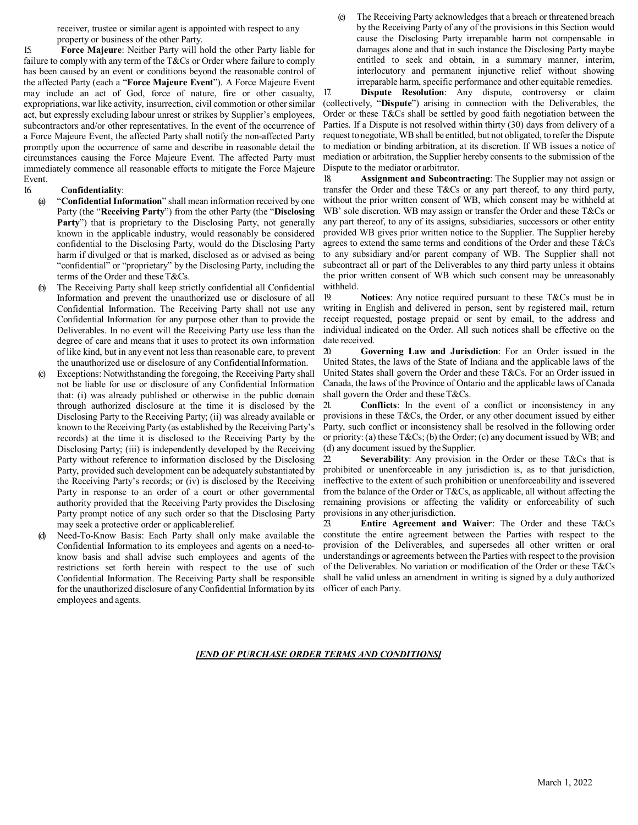receiver, trustee or similar agent is appointed with respect to any property or business of the other Party.

15. **Force Majeure**: Neither Party will hold the other Party liable for failure to comply with any term of the T&Cs or Order where failure to comply has been caused by an event or conditions beyond the reasonable control of the affected Party (each a "**Force Majeure Event**"). A Force Majeure Event may include an act of God, force of nature, fire or other casualty, expropriations, war like activity, insurrection, civil commotion or other similar act, but expressly excluding labour unrest or strikes by Supplier's employees, subcontractors and/or other representatives. In the event of the occurrence of a Force Majeure Event, the affected Party shall notify the non-affected Party promptly upon the occurrence of same and describe in reasonable detail the circumstances causing the Force Majeure Event. The affected Party must immediately commence all reasonable efforts to mitigate the Force Majeure Event.

#### 16. **Confidentiality**:

- (a) "**Confidential Information**" shall mean information received by one Party (the "**Receiving Party**") from the other Party (the "**Disclosing**  Party") that is proprietary to the Disclosing Party, not generally known in the applicable industry, would reasonably be considered confidential to the Disclosing Party, would do the Disclosing Party harm if divulged or that is marked, disclosed as or advised as being "confidential" or "proprietary" by the Disclosing Party, including the terms of the Order and theseT&Cs.
- (b) The Receiving Party shall keep strictly confidential all Confidential Information and prevent the unauthorized use or disclosure of all Confidential Information. The Receiving Party shall not use any Confidential Information for any purpose other than to provide the Deliverables. In no event will the Receiving Party use less than the degree of care and means that it uses to protect its own information of like kind, but in any event not less than reasonable care, to prevent the unauthorized use or disclosure of any Confidential Information.
- (c) Exceptions: Notwithstanding the foregoing, the Receiving Party shall not be liable for use or disclosure of any Confidential Information that: (i) was already published or otherwise in the public domain through authorized disclosure at the time it is disclosed by the Disclosing Party to the Receiving Party; (ii) was already available or known to the Receiving Party (as established by the Receiving Party's records) at the time it is disclosed to the Receiving Party by the Disclosing Party; (iii) is independently developed by the Receiving Party without reference to information disclosed by the Disclosing Party, provided such development can be adequately substantiated by the Receiving Party's records; or (iv) is disclosed by the Receiving Party in response to an order of a court or other governmental authority provided that the Receiving Party provides the Disclosing Party prompt notice of any such order so that the Disclosing Party may seek a protective order or applicablerelief.
- Need-To-Know Basis: Each Party shall only make available the Confidential Information to its employees and agents on a need-toknow basis and shall advise such employees and agents of the restrictions set forth herein with respect to the use of such Confidential Information. The Receiving Party shall be responsible for the unauthorized disclosure of any Confidential Information by its employees and agents.

(e) The Receiving Party acknowledges that a breach or threatened breach by the Receiving Party of any of the provisions in this Section would cause the Disclosing Party irreparable harm not compensable in damages alone and that in such instance the Disclosing Party maybe entitled to seek and obtain, in a summary manner, interim, interlocutory and permanent injunctive relief without showing irreparable harm, specific performance and other equitable remedies.

17. **Dispute Resolution**: Any dispute, controversy or claim (collectively, "**Dispute**") arising in connection with the Deliverables, the Order or these T&Cs shall be settled by good faith negotiation between the Parties. If a Dispute is not resolved within thirty (30) days from delivery of a request to negotiate, WB shall be entitled, but not obligated, to refer the Dispute to mediation or binding arbitration, at its discretion. If WB issues a notice of mediation or arbitration, the Supplier hereby consents to the submission of the Dispute to the mediator or arbitrator.

18. **Assignment and Subcontracting**: The Supplier may not assign or transfer the Order and these T&Cs or any part thereof, to any third party, without the prior written consent of WB, which consent may be withheld at WB' sole discretion. WB may assign or transfer the Order and these T&Cs or any part thereof, to any of its assigns, subsidiaries, successors or other entity provided WB gives prior written notice to the Supplier. The Supplier hereby agrees to extend the same terms and conditions of the Order and these T&Cs to any subsidiary and/or parent company of WB. The Supplier shall not subcontract all or part of the Deliverables to any third party unless it obtains the prior written consent of WB which such consent may be unreasonably withheld.

19. **Notices**: Any notice required pursuant to these T&Cs must be in writing in English and delivered in person, sent by registered mail, return receipt requested, postage prepaid or sent by email, to the address and individual indicated on the Order. All such notices shall be effective on the date received.

20. **Governing Law and Jurisdiction**: For an Order issued in the United States, the laws of the State of Indiana and the applicable laws of the United States shall govern the Order and these T&Cs. For an Order issued in Canada, the laws of the Province of Ontario and the applicable laws of Canada shall govern the Order and these T&Cs.

21. **Conflicts**: In the event of a conflict or inconsistency in any provisions in these T&Cs, the Order, or any other document issued by either Party, such conflict or inconsistency shall be resolved in the following order or priority: (a) these T&Cs; (b) the Order; (c) any document issued by WB; and (d) any document issued by the Supplier.

22. **Severability**: Any provision in the Order or these T&Cs that is prohibited or unenforceable in any jurisdiction is, as to that jurisdiction, ineffective to the extent of such prohibition or unenforceability and issevered from the balance of the Order or T&Cs, as applicable, all without affecting the remaining provisions or affecting the validity or enforceability of such provisions in any other jurisdiction.<br>23. **Entire Agreement and** 

23. **Entire Agreement and Waiver**: The Order and these T&Cs constitute the entire agreement between the Parties with respect to the provision of the Deliverables, and supersedes all other written or oral understandings or agreements between the Parties with respect to the provision of the Deliverables. No variation or modification of the Order or these T&Cs shall be valid unless an amendment in writing is signed by a duly authorized officer of each Party.

#### *[END OF PURCHASE ORDER TERMS AND CONDITIONS]*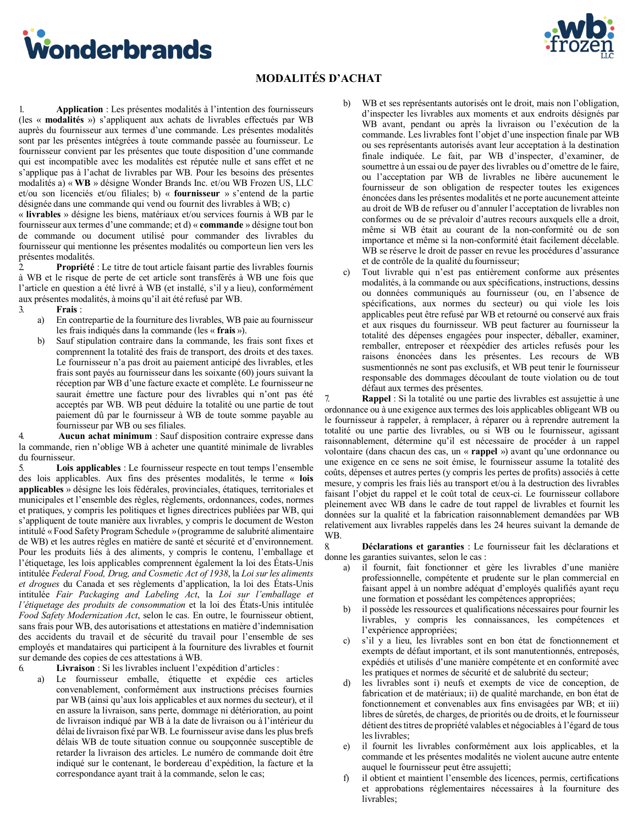<span id="page-4-0"></span>Wonderbrands



## **MODALITÉS D'ACHAT**

1. **Application** : Les présentes modalités à l'intention des fournisseurs (les « **modalités** ») s'appliquent aux achats de livrables effectués par WB auprès du fournisseur aux termes d'une commande. Les présentes modalités sont par les présentes intégrées à toute commande passée au fournisseur. Le fournisseur convient par les présentes que toute disposition d'une commande qui est incompatible avec les modalités est réputée nulle et sans effet et ne s'applique pas à l'achat de livrables par WB. Pour les besoins des présentes modalités a) « **WB** » désigne Wonder Brands Inc. et/ou WB Frozen US, LLC et/ou son licenciés et/ou filiales; b) « **fournisseur** » s'entend de la partie désignée dans une commande qui vend ou fournit des livrables à WB; c)

« **livrables** » désigne les biens, matériaux et/ou services fournis à WB par le fournisseur aux termes d'une commande; et d) « **commande** » désigne tout bon de commande ou document utilisé pour commander des livrables du fournisseur qui mentionne les présentes modalités ou comporteun lien vers les présentes modalités.

2. **Propriété** : Le titre de tout article faisant partie des livrables fournis à WB et le risque de perte de cet article sont transférés à WB une fois que l'article en question a été livré à WB (et installé, s'il y a lieu), conformément aux présentes modalités, à moins qu'il ait été refusé par WB.

3. **Frais** :

- a) En contrepartie de la fourniture des livrables, WB paie au fournisseur les frais indiqués dans la commande (les « **frais** »).
- b) Sauf stipulation contraire dans la commande, les frais sont fixes et comprennent la totalité des frais de transport, des droits et des taxes. Le fournisseur n'a pas droit au paiement anticipé des livrables, etles frais sont payés au fournisseur dans les soixante (60) jours suivant la réception par WB d'une facture exacte et complète. Le fournisseur ne saurait émettre une facture pour des livrables qui n'ont pas été acceptés par WB. WB peut déduire la totalité ou une partie de tout paiement dû par le fournisseur à WB de toute somme payable au fournisseur par WB ou ses filiales.

4. **Aucun achat minimum** : Sauf disposition contraire expresse dans la commande, rien n'oblige WB à acheter une quantité minimale de livrables du fournisseur.

5. **Lois applicables** : Le fournisseur respecte en tout temps l'ensemble des lois applicables. Aux fins des présentes modalités, le terme « **lois applicables** » désigne les lois fédérales, provinciales, étatiques, territoriales et municipales et l'ensemble des règles, règlements, ordonnances, codes, normes et pratiques, y compris les politiques et lignes directrices publiées par WB, qui s'appliquent de toute manière aux livrables, y compris le document de Weston intitulé « Food Safety Program Schedule »(programme de salubrité alimentaire de WB) et les autres règles en matière de santé et sécurité et d'environnement. Pour les produits liés à des aliments, y compris le contenu, l'emballage et l'étiquetage, les lois applicables comprennent également la loi des États-Unis intitulée *Federal Food, Drug, and Cosmetic Act of 1938*, la *Loi surles aliments et drogues* du Canada et ses règlements d'application, la loi des États-Unis intitulée *Fair Packaging and Labeling Act*, la *Loi sur l'emballage et l'étiquetage des produits de consommation* et la loi des États-Unis intitulée *Food Safety Modernization Act*, selon le cas. En outre, le fournisseur obtient, sans frais pour WB, des autorisations et attestations en matière d'indemnisation des accidents du travail et de sécurité du travail pour l'ensemble de ses employés et mandataires qui participent à la fourniture des livrables et fournit sur demande des copies de ces attestations à WB.

6. **Livraison** : Si les livrables incluent l'expédition d'articles :

Le fournisseur emballe, étiquette et expédie ces articles convenablement, conformément aux instructions précises fournies par WB (ainsi qu'aux lois applicables et aux normes du secteur), et il en assure la livraison, sans perte, dommage ni détérioration, au point de livraison indiqué par WB à la date de livraison ou à l'intérieur du délai de livraison fixé par WB. Le fournisseur avise dans les plus brefs délais WB de toute situation connue ou soupçonnée susceptible de retarder la livraison des articles. Le numéro de commande doit être indiqué sur le contenant, le bordereau d'expédition, la facture et la correspondance ayant trait à la commande, selon le cas;

- b) WB et ses représentants autorisés ont le droit, mais non l'obligation, d'inspecter les livrables aux moments et aux endroits désignés par WB avant, pendant ou après la livraison ou l'exécution de la commande. Les livrables font l'objet d'une inspection finale par WB ou ses représentants autorisés avant leur acceptation à la destination finale indiquée. Le fait, par WB d'inspecter, d'examiner, de soumettre à un essai ou de payer des livrables ou d'omettre de le faire, ou l'acceptation par WB de livrables ne libère aucunement le fournisseur de son obligation de respecter toutes les exigences énoncées dans les présentes modalités et ne porte aucunement atteinte au droit de WB de refuser ou d'annuler l'acceptation de livrables non conformes ou de se prévaloir d'autres recours auxquels elle a droit, même si WB était au courant de la non-conformité ou de son importance et même si la non-conformité était facilement décelable. WB se réserve le droit de passer en revue les procédures d'assurance et de contrôle de la qualité du fournisseur;
- Tout livrable qui n'est pas entièrement conforme aux présentes modalités, à la commande ou aux spécifications, instructions, dessins ou données communiqués au fournisseur (ou, en l'absence de spécifications, aux normes du secteur) ou qui viole les lois applicables peut être refusé par WB et retourné ou conservé aux frais et aux risques du fournisseur. WB peut facturer au fournisseur la totalité des dépenses engagées pour inspecter, déballer, examiner, remballer, entreposer et réexpédier des articles refusés pour les raisons énoncées dans les présentes. Les recours de WB susmentionnés ne sont pas exclusifs, et WB peut tenir le fournisseur responsable des dommages découlant de toute violation ou de tout défaut aux termes des présentes.

**Rappel** : Si la totalité ou une partie des livrables est assujettie à une ordonnance ou à une exigence aux termes des lois applicables obligeant WB ou le fournisseur à rappeler, à remplacer, à réparer ou à reprendre autrement la totalité ou une partie des livrables, ou si WB ou le fournisseur, agissant raisonnablement, détermine qu'il est nécessaire de procéder à un rappel volontaire (dans chacun des cas, un « **rappel** ») avant qu'une ordonnance ou une exigence en ce sens ne soit émise, le fournisseur assume la totalité des coûts, dépenses et autres pertes (y compris les pertes de profits) associés à cette mesure, y compris les frais liés au transport et/ou à la destruction des livrables faisant l'objet du rappel et le coût total de ceux-ci. Le fournisseur collabore pleinement avec WB dans le cadre de tout rappel de livrables et fournit les données sur la qualité et la fabrication raisonnablement demandées par WB relativement aux livrables rappelés dans les 24 heures suivant la demande de WB.

8. **Déclarations et garanties** : Le fournisseur fait les déclarations et donne les garanties suivantes, selon le cas :

- a) il fournit, fait fonctionner et gère les livrables d'une manière professionnelle, compétente et prudente sur le plan commercial en faisant appel à un nombre adéquat d'employés qualifiés ayant reçu une formation et possédant les compétences appropriées;
- b) il possède les ressources et qualifications nécessaires pour fournir les livrables, y compris les connaissances, les compétences et l'expérience appropriées;
- s'il y a lieu, les livrables sont en bon état de fonctionnement et exempts de défaut important, et ils sont manutentionnés, entreposés, expédiés et utilisés d'une manière compétente et en conformité avec les pratiques et normes de sécurité et de salubrité du secteur;
- d) les livrables sont i) neufs et exempts de vice de conception, de fabrication et de matériaux; ii) de qualité marchande, en bon état de fonctionnement et convenables aux fins envisagées par WB; et iii) libres de sûretés, de charges, de priorités ou de droits, et le fournisseur détient des titres de propriété valables et négociables à l'égard de tous les livrables;
- e) il fournit les livrables conformément aux lois applicables, et la commande et les présentes modalités ne violent aucune autre entente auquel le fournisseur peut être assujetti;
- il obtient et maintient l'ensemble des licences, permis, certifications et approbations réglementaires nécessaires à la fourniture des livrables;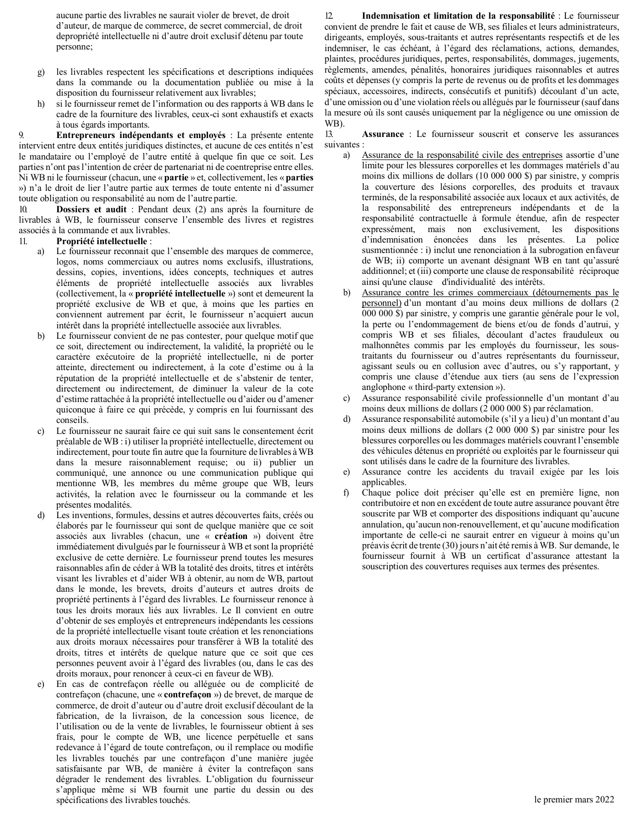aucune partie des livrables ne saurait violer de brevet, de droit d'auteur, de marque de commerce, de secret commercial, de droit depropriété intellectuelle ni d'autre droit exclusif détenu par toute personne;

- g) les livrables respectent les spécifications et descriptions indiquées dans la commande ou la documentation publiée ou mise à la disposition du fournisseur relativement aux livrables;
- h) si le fournisseur remet de l'information ou des rapports à WB dans le cadre de la fourniture des livrables, ceux-ci sont exhaustifs et exacts à tous égards importants.

9. **Entrepreneurs indépendants et employés** : La présente entente intervient entre deux entités juridiques distinctes, et aucune de ces entités n'est le mandataire ou l'employé de l'autre entité à quelque fin que ce soit. Les parties n'ont pasl'intention de créer de partenariat ni de coentreprise entre elles. Ni WB ni le fournisseur (chacun, une « **partie** » et, collectivement, les « **parties**  ») n'a le droit de lier l'autre partie aux termes de toute entente ni d'assumer toute obligation ou responsabilité au nom de l'autre partie.

10. **Dossiers et audit** : Pendant deux (2) ans après la fourniture de livrables à WB, le fournisseur conserve l'ensemble des livres et registres associés à la commande et aux livrables.

#### 11. **Propriété intellectuelle** :

- a) Le fournisseur reconnait que l'ensemble des marques de commerce, logos, noms commerciaux ou autres noms exclusifs, illustrations, dessins, copies, inventions, idées concepts, techniques et autres éléments de propriété intellectuelle associés aux livrables (collectivement, la « **propriété intellectuelle** ») sont et demeurent la propriété exclusive de WB et que, à moins que les parties en conviennent autrement par écrit, le fournisseur n'acquiert aucun intérêt dans la propriété intellectuelle associée aux livrables.
- b) Le fournisseur convient de ne pas contester, pour quelque motif que ce soit, directement ou indirectement, la validité, la propriété ou le caractère exécutoire de la propriété intellectuelle, ni de porter atteinte, directement ou indirectement, à la cote d'estime ou à la réputation de la propriété intellectuelle et de s'abstenir de tenter, directement ou indirectement, de diminuer la valeur de la cote d'estime rattachée à la propriété intellectuelle ou d'aider ou d'amener quiconque à faire ce qui précède, y compris en lui fournissant des conseils.
- c) Le fournisseur ne saurait faire ce qui suit sans le consentement écrit préalable de WB : i) utiliser la propriété intellectuelle, directement ou indirectement, pour toute fin autre que la fourniture de livrables à WB dans la mesure raisonnablement requise; ou ii) publier un communiqué, une annonce ou une communication publique qui mentionne WB, les membres du même groupe que WB, leurs activités, la relation avec le fournisseur ou la commande et les présentes modalités.
- d) Les inventions, formules, dessins et autres découvertes faits, créés ou élaborés par le fournisseur qui sont de quelque manière que ce soit associés aux livrables (chacun, une « **création** ») doivent être immédiatement divulgués par le fournisseur à WB et sont la propriété exclusive de cette dernière. Le fournisseur prend toutes les mesures raisonnables afin de céder à WB la totalité des droits, titres et intérêts visant les livrables et d'aider WB à obtenir, au nom de WB, partout dans le monde, les brevets, droits d'auteurs et autres droits de propriété pertinents à l'égard des livrables. Le fournisseur renonce à tous les droits moraux liés aux livrables. Le Il convient en outre d'obtenir de ses employés et entrepreneurs indépendants les cessions de la propriété intellectuelle visant toute création et les renonciations aux droits moraux nécessaires pour transférer à WB la totalité des droits, titres et intérêts de quelque nature que ce soit que ces personnes peuvent avoir à l'égard des livrables (ou, dans le cas des droits moraux, pour renoncer à ceux-ci en faveur de WB).
- En cas de contrefaçon réelle ou alléguée ou de complicité de contrefaçon (chacune, une « **contrefaçon** ») de brevet, de marque de commerce, de droit d'auteur ou d'autre droit exclusif découlant de la fabrication, de la livraison, de la concession sous licence, de l'utilisation ou de la vente de livrables, le fournisseur obtient à ses frais, pour le compte de WB, une licence perpétuelle et sans redevance à l'égard de toute contrefaçon, ou il remplace ou modifie les livrables touchés par une contrefaçon d'une manière jugée satisfaisante par WB, de manière à éviter la contrefaçon sans dégrader le rendement des livrables. L'obligation du fournisseur s'applique même si WB fournit une partie du dessin ou des spécifications des livrables touchés.

12. **Indemnisation et limitation de la responsabilité** : Le fournisseur convient de prendre le fait et cause de WB, ses filiales et leurs administrateurs, dirigeants, employés, sous-traitants et autres représentants respectifs et de les indemniser, le cas échéant, à l'égard des réclamations, actions, demandes, plaintes, procédures juridiques, pertes, responsabilités, dommages, jugements, règlements, amendes, pénalités, honoraires juridiques raisonnables et autres coûts et dépenses (y compris la perte de revenus ou de profits et les dommages spéciaux, accessoires, indirects, consécutifs et punitifs) découlant d'un acte, d'une omission ou d'une violation réels ou allégués par le fournisseur (sauf dans la mesure où ils sont causés uniquement par la négligence ou une omission de WB).

13. **Assurance** : Le fournisseur souscrit et conserve les assurances suivantes :

- a) Assurance de la responsabilité civile des entreprises assortie d'une limite pour les blessures corporelles et les dommages matériels d'au moins dix millions de dollars (10 000 000 \$) par sinistre, y compris la couverture des lésions corporelles, des produits et travaux terminés, de la responsabilité associée aux locaux et aux activités, de la responsabilité des entrepreneurs indépendants et de la responsabilité contractuelle à formule étendue, afin de respecter expressément, mais non exclusivement, les dispositions d'indemnisation énoncées dans les présentes. La police susmentionnée : i) inclut une renonciation à la subrogation enfaveur de WB; ii) comporte un avenant désignant WB en tant qu'assuré additionnel; et (iii) comporte une clause de responsabilité réciproque ainsi qu'une clause d'individualité des intérêts.
- Assurance contre les crimes commerciaux (détournements pas le personnel) d'un montant d'au moins deux millions de dollars (2 000 000 \$) par sinistre, y compris une garantie générale pour le vol, la perte ou l'endommagement de biens et/ou de fonds d'autrui, y compris WB et ses filiales, découlant d'actes frauduleux ou malhonnêtes commis par les employés du fournisseur, les soustraitants du fournisseur ou d'autres représentants du fournisseur, agissant seuls ou en collusion avec d'autres, ou s'y rapportant, y compris une clause d'étendue aux tiers (au sens de l'expression anglophone « third-party extension »).
- c) Assurance responsabilité civile professionnelle d'un montant d'au moins deux millions de dollars (2 000 000 \$) par réclamation.
- d) Assurance responsabilité automobile (s'il y a lieu) d'un montant d'au moins deux millions de dollars (2 000 000 \$) par sinistre pour les blessures corporelles ou les dommages matériels couvrant l'ensemble des véhicules détenus en propriété ou exploités par le fournisseur qui sont utilisés dans le cadre de la fourniture des livrables.
- e) Assurance contre les accidents du travail exigée par les lois applicables.
- f) Chaque police doit préciser qu'elle est en première ligne, non contributoire et non en excédent de toute autre assurance pouvant être souscrite par WB et comporter des dispositions indiquant qu'aucune annulation, qu'aucun non-renouvellement, et qu'aucune modification importante de celle-ci ne saurait entrer en vigueur à moins qu'un préavis écrit de trente (30) jours n'ait été remis à WB. Sur demande, le fournisseur fournit à WB un certificat d'assurance attestant la souscription des couvertures requises aux termes des présentes.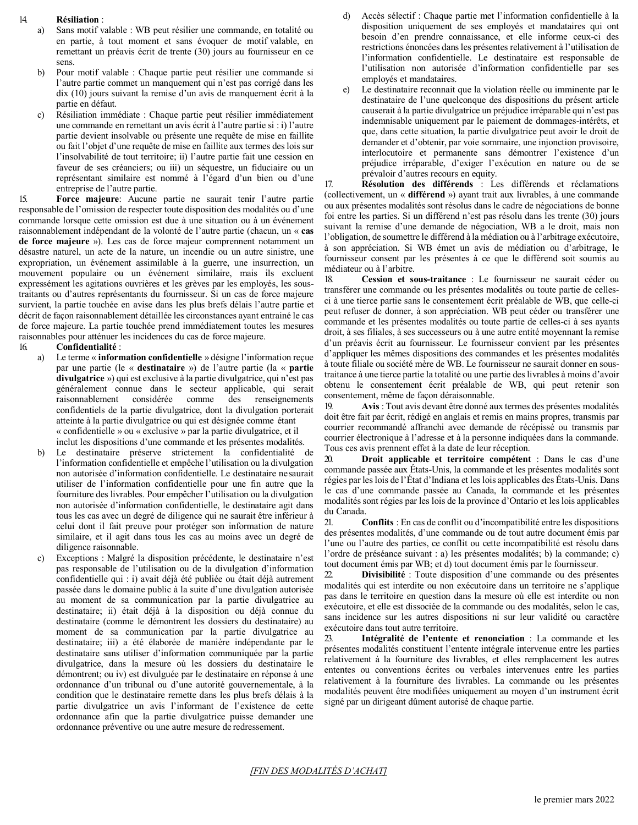#### 14. **Résiliation** :

- a) Sans motif valable : WB peut résilier une commande, en totalité ou en partie, à tout moment et sans évoquer de motif valable, en remettant un préavis écrit de trente (30) jours au fournisseur en ce sens.
- b) Pour motif valable : Chaque partie peut résilier une commande si l'autre partie commet un manquement qui n'est pas corrigé dans les dix (10) jours suivant la remise d'un avis de manquement écrit à la partie en défaut.
- c) Résiliation immédiate : Chaque partie peut résilier immédiatement une commande en remettant un avis écrit à l'autre partie si : i) l'autre partie devient insolvable ou présente une requête de mise en faillite ou fait l'objet d'une requête de mise en faillite aux termes deslois sur l'insolvabilité de tout territoire; ii) l'autre partie fait une cession en faveur de ses créanciers; ou iii) un séquestre, un fiduciaire ou un représentant similaire est nommé à l'égard d'un bien ou d'une entreprise de l'autre partie.

15. **Force majeure**: Aucune partie ne saurait tenir l'autre partie responsable de l'omission de respecter toute disposition des modalités ou d'une commande lorsque cette omission est due à une situation ou à un événement raisonnablement indépendant de la volonté de l'autre partie (chacun, un « **cas de force majeure** »). Les cas de force majeur comprennent notamment un désastre naturel, un acte de la nature, un incendie ou un autre sinistre, une expropriation, un événement assimilable à la guerre, une insurrection, un mouvement populaire ou un événement similaire, mais ils excluent expressément les agitations ouvrières et les grèves par les employés, les soustraitants ou d'autres représentants du fournisseur. Si un cas de force majeure survient, la partie touchée en avise dans les plus brefs délais l'autre partie et décrit de façon raisonnablement détaillée les circonstances ayant entrainé le cas de force majeure. La partie touchée prend immédiatement toutes les mesures raisonnables pour atténuer les incidences du cas de force majeure.

#### 16. **Confidentialité** :

- a) Le terme « **information confidentielle** » désigne l'information reçue par une partie (le « **destinataire** ») de l'autre partie (la « **partie divulgatrice** ») qui est exclusive à la partie divulgatrice, qui n'est pas généralement connue dans le secteur applicable, qui serait raisonnablement considérée comme des renseignements confidentiels de la partie divulgatrice, dont la divulgation porterait atteinte à la partie divulgatrice ou qui est désignée comme étant « confidentielle » ou « exclusive » par la partie divulgatrice, et il inclut les dispositions d'une commande et les présentes modalités.
- b) Le destinataire préserve strictement la confidentialité de l'information confidentielle et empêche l'utilisation ou la divulgation non autorisée d'information confidentielle. Le destinataire nesaurait utiliser de l'information confidentielle pour une fin autre que la fourniture des livrables. Pour empêcher l'utilisation ou la divulgation non autorisée d'information confidentielle, le destinataire agit dans tous les cas avec un degré de diligence qui ne saurait être inférieur à celui dont il fait preuve pour protéger son information de nature similaire, et il agit dans tous les cas au moins avec un degré de diligence raisonnable.
- c) Exceptions : Malgré la disposition précédente, le destinataire n'est pas responsable de l'utilisation ou de la divulgation d'information confidentielle qui : i) avait déjà été publiée ou était déjà autrement passée dans le domaine public à la suite d'une divulgation autorisée au moment de sa communication par la partie divulgatrice au destinataire; ii) était déjà à la disposition ou déjà connue du destinataire (comme le démontrent les dossiers du destinataire) au moment de sa communication par la partie divulgatrice au destinataire; iii) a été élaborée de manière indépendante par le destinataire sans utiliser d'information communiquée par la partie divulgatrice, dans la mesure où les dossiers du destinataire le démontrent; ou iv) est divulguée par le destinataire en réponse à une ordonnance d'un tribunal ou d'une autorité gouvernementale, à la condition que le destinataire remette dans les plus brefs délais à la partie divulgatrice un avis l'informant de l'existence de cette ordonnance afin que la partie divulgatrice puisse demander une ordonnance préventive ou une autre mesure de redressement.
- Accès sélectif : Chaque partie met l'information confidentielle à la disposition uniquement de ses employés et mandataires qui ont besoin d'en prendre connaissance, et elle informe ceux-ci des restrictions énoncées dansles présentes relativement à l'utilisation de l'information confidentielle. Le destinataire est responsable de l'utilisation non autorisée d'information confidentielle par ses employés et mandataires.
- e) Le destinataire reconnait que la violation réelle ou imminente par le destinataire de l'une quelconque des dispositions du présent article causerait à la partie divulgatrice un préjudice irréparable qui n'est pas indemnisable uniquement par le paiement de dommages-intérêts, et que, dans cette situation, la partie divulgatrice peut avoir le droit de demander et d'obtenir, par voie sommaire, une injonction provisoire, interlocutoire et permanente sans démontrer l'existence d'un préjudice irréparable, d'exiger l'exécution en nature ou de se prévaloir d'autres recours en equity.

17. **Résolution des différends** : Les différends et réclamations (collectivement, un « **différend** ») ayant trait aux livrables, à une commande ou aux présentes modalités sont résolus dans le cadre de négociations de bonne foi entre les parties. Si un différend n'est pas résolu dans les trente (30) jours suivant la remise d'une demande de négociation, WB a le droit, mais non l'obligation, de soumettre le différend à la médiation ou à l'arbitrage exécutoire, à son appréciation. Si WB émet un avis de médiation ou d'arbitrage, le fournisseur consent par les présentes à ce que le différend soit soumis au médiateur ou à l'arbitre.

18. **Cession et sous-traitance** : Le fournisseur ne saurait céder ou transférer une commande ou les présentes modalités ou toute partie de cellesci à une tierce partie sans le consentement écrit préalable de WB, que celle-ci peut refuser de donner, à son appréciation. WB peut céder ou transférer une commande et les présentes modalités ou toute partie de celles-ci à ses ayants droit, à ses filiales, à ses successeurs ou à une autre entité moyennant la remise d'un préavis écrit au fournisseur. Le fournisseur convient par les présentes d'appliquer les mêmes dispositions des commandes et les présentes modalités à toute filiale ou société mère de WB. Le fournisseur ne saurait donner en soustraitance à une tierce partie la totalité ou une partie des livrables à moins d'avoir obtenu le consentement écrit préalable de WB, qui peut retenir son consentement, même de façon déraisonnable.

19. **Avis** : Tout avis devant être donné aux termes des présentes modalités doit être fait par écrit, rédigé en anglais et remis en mains propres, transmis par courrier recommandé affranchi avec demande de récépissé ou transmis par courrier électronique à l'adresse et à la personne indiquées dans la commande. Tous ces avis prennent effet à la date de leur réception.

20. **Droit applicable et territoire compétent** : Dans le cas d'une commande passée aux États-Unis, la commande et les présentes modalités sont régies par leslois de l'État d'Indiana et leslois applicables des États-Unis. Dans le cas d'une commande passée au Canada, la commande et les présentes modalités sont régies par les lois de la province d'Ontario et les lois applicables du Canada.

21. **Conflits** : En cas de conflit ou d'incompatibilité entre les dispositions des présentes modalités, d'une commande ou de tout autre document émis par l'une ou l'autre des parties, ce conflit ou cette incompatibilité est résolu dans l'ordre de préséance suivant : a) les présentes modalités; b) la commande; c) tout document émis par WB; et d) tout document émis par le fournisseur.

22. **Divisibilité** : Toute disposition d'une commande ou des présentes modalités qui est interdite ou non exécutoire dans un territoire ne s'applique pas dans le territoire en question dans la mesure où elle est interdite ou non exécutoire, et elle est dissociée de la commande ou des modalités, selon le cas, sans incidence sur les autres dispositions ni sur leur validité ou caractère exécutoire dans tout autre territoire.

23. **Intégralité de l'entente et renonciation** : La commande et les présentes modalités constituent l'entente intégrale intervenue entre les parties relativement à la fourniture des livrables, et elles remplacement les autres ententes ou conventions écrites ou verbales intervenues entre les parties relativement à la fourniture des livrables. La commande ou les présentes modalités peuvent être modifiées uniquement au moyen d'un instrument écrit signé par un dirigeant dûment autorisé de chaque partie.

#### *[FIN DES MODALITÉS D'ACHAT]*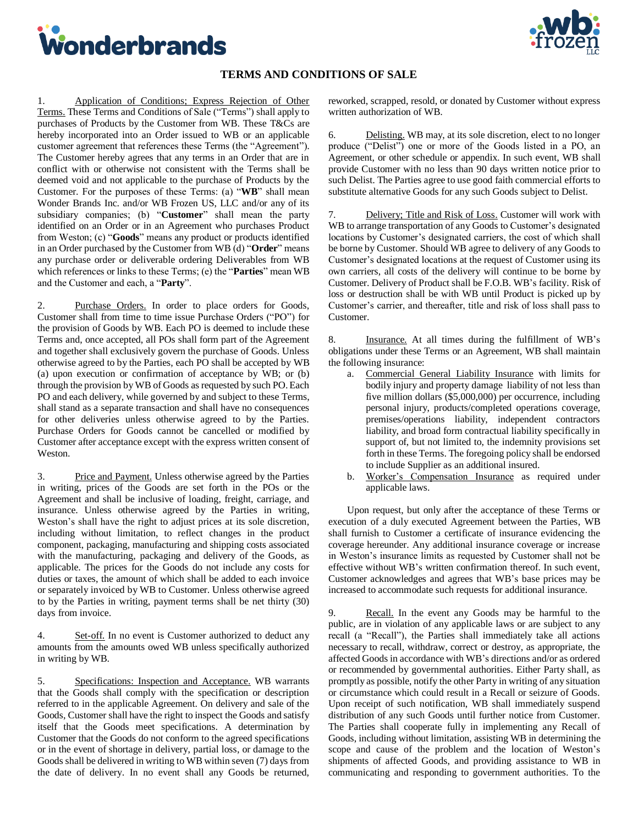<span id="page-7-0"></span>



## **TERMS AND CONDITIONS OF SALE**

1. Application of Conditions; Express Rejection of Other Terms. These Terms and Conditions of Sale ("Terms") shall apply to purchases of Products by the Customer from WB. These T&Cs are hereby incorporated into an Order issued to WB or an applicable customer agreement that references these Terms (the "Agreement"). The Customer hereby agrees that any terms in an Order that are in conflict with or otherwise not consistent with the Terms shall be deemed void and not applicable to the purchase of Products by the Customer. For the purposes of these Terms: (a) "**WB**" shall mean Wonder Brands Inc. and/or WB Frozen US, LLC and/or any of its subsidiary companies; (b) "**Customer**" shall mean the party identified on an Order or in an Agreement who purchases Product from Weston; (c) "**Goods**" means any product or products identified in an Order purchased by the Customer from WB (d) "**Order**" means any purchase order or deliverable ordering Deliverables from WB which references or links to these Terms; (e) the "**Parties**" mean WB and the Customer and each, a "**Party**".

2. Purchase Orders. In order to place orders for Goods, Customer shall from time to time issue Purchase Orders ("PO") for the provision of Goods by WB. Each PO is deemed to include these Terms and, once accepted, all POs shall form part of the Agreement and together shall exclusively govern the purchase of Goods. Unless otherwise agreed to by the Parties, each PO shall be accepted by WB (a) upon execution or confirmation of acceptance by WB; or (b) through the provision by WB of Goods as requested by such PO. Each PO and each delivery, while governed by and subject to these Terms, shall stand as a separate transaction and shall have no consequences for other deliveries unless otherwise agreed to by the Parties. Purchase Orders for Goods cannot be cancelled or modified by Customer after acceptance except with the express written consent of Weston.

3. Price and Payment. Unless otherwise agreed by the Parties in writing, prices of the Goods are set forth in the POs or the Agreement and shall be inclusive of loading, freight, carriage, and insurance. Unless otherwise agreed by the Parties in writing, Weston's shall have the right to adjust prices at its sole discretion, including without limitation, to reflect changes in the product component, packaging, manufacturing and shipping costs associated with the manufacturing, packaging and delivery of the Goods, as applicable. The prices for the Goods do not include any costs for duties or taxes, the amount of which shall be added to each invoice or separately invoiced by WB to Customer. Unless otherwise agreed to by the Parties in writing, payment terms shall be net thirty (30) days from invoice.

4. Set-off. In no event is Customer authorized to deduct any amounts from the amounts owed WB unless specifically authorized in writing by WB.

5. Specifications: Inspection and Acceptance. WB warrants that the Goods shall comply with the specification or description referred to in the applicable Agreement. On delivery and sale of the Goods, Customer shall have the right to inspect the Goods and satisfy itself that the Goods meet specifications. A determination by Customer that the Goods do not conform to the agreed specifications or in the event of shortage in delivery, partial loss, or damage to the Goods shall be delivered in writing to WB within seven (7) days from the date of delivery. In no event shall any Goods be returned,

reworked, scrapped, resold, or donated by Customer without express written authorization of WB.

6. Delisting. WB may, at its sole discretion, elect to no longer produce ("Delist") one or more of the Goods listed in a PO, an Agreement, or other schedule or appendix. In such event, WB shall provide Customer with no less than 90 days written notice prior to such Delist. The Parties agree to use good faith commercial efforts to substitute alternative Goods for any such Goods subject to Delist.

7. Delivery; Title and Risk of Loss. Customer will work with WB to arrange transportation of any Goods to Customer's designated locations by Customer's designated carriers, the cost of which shall be borne by Customer. Should WB agree to delivery of any Goods to Customer's designated locations at the request of Customer using its own carriers, all costs of the delivery will continue to be borne by Customer. Delivery of Product shall be F.O.B. WB's facility. Risk of loss or destruction shall be with WB until Product is picked up by Customer's carrier, and thereafter, title and risk of loss shall pass to Customer.

8. Insurance. At all times during the fulfillment of WB's obligations under these Terms or an Agreement, WB shall maintain the following insurance:

- a. Commercial General Liability Insurance with limits for bodily injury and property damage liability of not less than five million dollars (\$5,000,000) per occurrence, including personal injury, products/completed operations coverage, premises/operations liability, independent contractors liability, and broad form contractual liability specifically in support of, but not limited to, the indemnity provisions set forth in these Terms. The foregoing policy shall be endorsed to include Supplier as an additional insured.
- b. Worker's Compensation Insurance as required under applicable laws.

Upon request, but only after the acceptance of these Terms or execution of a duly executed Agreement between the Parties, WB shall furnish to Customer a certificate of insurance evidencing the coverage hereunder. Any additional insurance coverage or increase in Weston's insurance limits as requested by Customer shall not be effective without WB's written confirmation thereof. In such event, Customer acknowledges and agrees that WB's base prices may be increased to accommodate such requests for additional insurance.

9. Recall. In the event any Goods may be harmful to the public, are in violation of any applicable laws or are subject to any recall (a "Recall"), the Parties shall immediately take all actions necessary to recall, withdraw, correct or destroy, as appropriate, the affected Goods in accordance with WB's directions and/or as ordered or recommended by governmental authorities. Either Party shall, as promptly as possible, notify the other Party in writing of any situation or circumstance which could result in a Recall or seizure of Goods. Upon receipt of such notification, WB shall immediately suspend distribution of any such Goods until further notice from Customer. The Parties shall cooperate fully in implementing any Recall of Goods, including without limitation, assisting WB in determining the scope and cause of the problem and the location of Weston's shipments of affected Goods, and providing assistance to WB in communicating and responding to government authorities. To the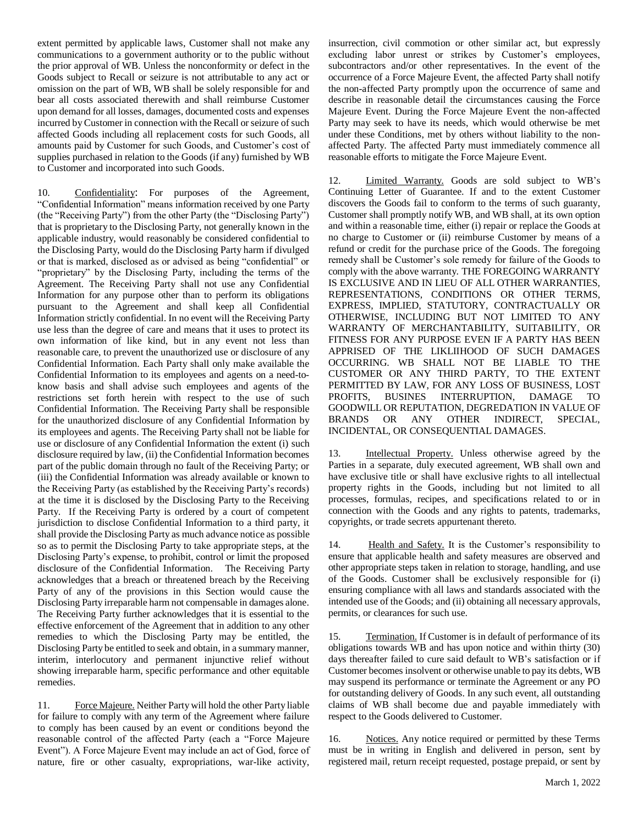extent permitted by applicable laws, Customer shall not make any communications to a government authority or to the public without the prior approval of WB. Unless the nonconformity or defect in the Goods subject to Recall or seizure is not attributable to any act or omission on the part of WB, WB shall be solely responsible for and bear all costs associated therewith and shall reimburse Customer upon demand for all losses, damages, documented costs and expenses incurred by Customer in connection with the Recall or seizure of such affected Goods including all replacement costs for such Goods, all amounts paid by Customer for such Goods, and Customer's cost of supplies purchased in relation to the Goods (if any) furnished by WB to Customer and incorporated into such Goods.

10. Confidentiality: For purposes of the Agreement, "Confidential Information" means information received by one Party (the "Receiving Party") from the other Party (the "Disclosing Party") that is proprietary to the Disclosing Party, not generally known in the applicable industry, would reasonably be considered confidential to the Disclosing Party, would do the Disclosing Party harm if divulged or that is marked, disclosed as or advised as being "confidential" or "proprietary" by the Disclosing Party, including the terms of the Agreement. The Receiving Party shall not use any Confidential Information for any purpose other than to perform its obligations pursuant to the Agreement and shall keep all Confidential Information strictly confidential. In no event will the Receiving Party use less than the degree of care and means that it uses to protect its own information of like kind, but in any event not less than reasonable care, to prevent the unauthorized use or disclosure of any Confidential Information. Each Party shall only make available the Confidential Information to its employees and agents on a need-toknow basis and shall advise such employees and agents of the restrictions set forth herein with respect to the use of such Confidential Information. The Receiving Party shall be responsible for the unauthorized disclosure of any Confidential Information by its employees and agents. The Receiving Party shall not be liable for use or disclosure of any Confidential Information the extent (i) such disclosure required by law, (ii) the Confidential Information becomes part of the public domain through no fault of the Receiving Party; or (iii) the Confidential Information was already available or known to the Receiving Party (as established by the Receiving Party's records) at the time it is disclosed by the Disclosing Party to the Receiving Party. If the Receiving Party is ordered by a court of competent jurisdiction to disclose Confidential Information to a third party, it shall provide the Disclosing Party as much advance notice as possible so as to permit the Disclosing Party to take appropriate steps, at the Disclosing Party's expense, to prohibit, control or limit the proposed disclosure of the Confidential Information. The Receiving Party acknowledges that a breach or threatened breach by the Receiving Party of any of the provisions in this Section would cause the Disclosing Party irreparable harm not compensable in damages alone. The Receiving Party further acknowledges that it is essential to the effective enforcement of the Agreement that in addition to any other remedies to which the Disclosing Party may be entitled, the Disclosing Party be entitled to seek and obtain, in a summary manner, interim, interlocutory and permanent injunctive relief without showing irreparable harm, specific performance and other equitable remedies.

11. Force Majeure. Neither Party will hold the other Party liable for failure to comply with any term of the Agreement where failure to comply has been caused by an event or conditions beyond the reasonable control of the affected Party (each a "Force Majeure Event"). A Force Majeure Event may include an act of God, force of nature, fire or other casualty, expropriations, war-like activity,

insurrection, civil commotion or other similar act, but expressly excluding labor unrest or strikes by Customer's employees, subcontractors and/or other representatives. In the event of the occurrence of a Force Majeure Event, the affected Party shall notify the non-affected Party promptly upon the occurrence of same and describe in reasonable detail the circumstances causing the Force Majeure Event. During the Force Majeure Event the non-affected Party may seek to have its needs, which would otherwise be met under these Conditions, met by others without liability to the nonaffected Party. The affected Party must immediately commence all reasonable efforts to mitigate the Force Majeure Event.

12. Limited Warranty. Goods are sold subject to WB's Continuing Letter of Guarantee. If and to the extent Customer discovers the Goods fail to conform to the terms of such guaranty, Customer shall promptly notify WB, and WB shall, at its own option and within a reasonable time, either (i) repair or replace the Goods at no charge to Customer or (ii) reimburse Customer by means of a refund or credit for the purchase price of the Goods. The foregoing remedy shall be Customer's sole remedy for failure of the Goods to comply with the above warranty. THE FOREGOING WARRANTY IS EXCLUSIVE AND IN LIEU OF ALL OTHER WARRANTIES, REPRESENTATIONS, CONDITIONS OR OTHER TERMS, EXPRESS, IMPLIED, STATUTORY, CONTRACTUALLY OR OTHERWISE, INCLUDING BUT NOT LIMITED TO ANY WARRANTY OF MERCHANTABILITY, SUITABILITY, OR FITNESS FOR ANY PURPOSE EVEN IF A PARTY HAS BEEN APPRISED OF THE LIKLIIHOOD OF SUCH DAMAGES OCCURRING. WB SHALL NOT BE LIABLE TO THE CUSTOMER OR ANY THIRD PARTY, TO THE EXTENT PERMITTED BY LAW, FOR ANY LOSS OF BUSINESS, LOST PROFITS, BUSINES INTERRUPTION, DAMAGE TO GOODWILL OR REPUTATION, DEGREDATION IN VALUE OF BRANDS OR ANY OTHER INDIRECT, SPECIAL, INCIDENTAL, OR CONSEQUENTIAL DAMAGES.

13. Intellectual Property. Unless otherwise agreed by the Parties in a separate, duly executed agreement, WB shall own and have exclusive title or shall have exclusive rights to all intellectual property rights in the Goods, including but not limited to all processes, formulas, recipes, and specifications related to or in connection with the Goods and any rights to patents, trademarks, copyrights, or trade secrets appurtenant thereto.

14. Health and Safety. It is the Customer's responsibility to ensure that applicable health and safety measures are observed and other appropriate steps taken in relation to storage, handling, and use of the Goods. Customer shall be exclusively responsible for (i) ensuring compliance with all laws and standards associated with the intended use of the Goods; and (ii) obtaining all necessary approvals, permits, or clearances for such use.

15. Termination. If Customer is in default of performance of its obligations towards WB and has upon notice and within thirty (30) days thereafter failed to cure said default to WB's satisfaction or if Customer becomes insolvent or otherwise unable to pay its debts, WB may suspend its performance or terminate the Agreement or any PO for outstanding delivery of Goods. In any such event, all outstanding claims of WB shall become due and payable immediately with respect to the Goods delivered to Customer.

16. Notices. Any notice required or permitted by these Terms must be in writing in English and delivered in person, sent by registered mail, return receipt requested, postage prepaid, or sent by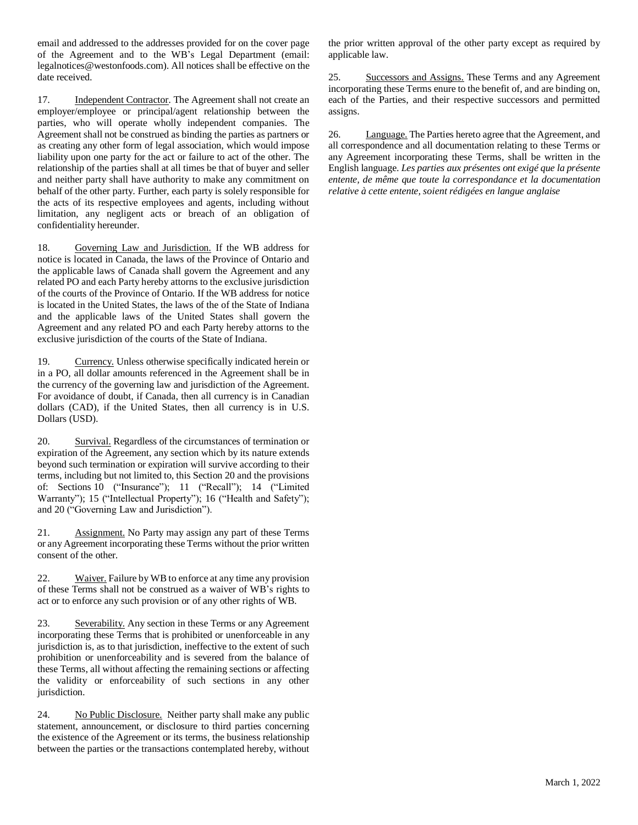email and addressed to the addresses provided for on the cover page of the Agreement and to the WB's Legal Department (email: legalnotices@westonfoods.com). All notices shall be effective on the date received.

17. Independent Contractor. The Agreement shall not create an employer/employee or principal/agent relationship between the parties, who will operate wholly independent companies. The Agreement shall not be construed as binding the parties as partners or as creating any other form of legal association, which would impose liability upon one party for the act or failure to act of the other. The relationship of the parties shall at all times be that of buyer and seller and neither party shall have authority to make any commitment on behalf of the other party. Further, each party is solely responsible for the acts of its respective employees and agents, including without limitation, any negligent acts or breach of an obligation of confidentiality hereunder.

18. Governing Law and Jurisdiction. If the WB address for notice is located in Canada, the laws of the Province of Ontario and the applicable laws of Canada shall govern the Agreement and any related PO and each Party hereby attorns to the exclusive jurisdiction of the courts of the Province of Ontario. If the WB address for notice is located in the United States, the laws of the of the State of Indiana and the applicable laws of the United States shall govern the Agreement and any related PO and each Party hereby attorns to the exclusive jurisdiction of the courts of the State of Indiana.

19. Currency. Unless otherwise specifically indicated herein or in a PO, all dollar amounts referenced in the Agreement shall be in the currency of the governing law and jurisdiction of the Agreement. For avoidance of doubt, if Canada, then all currency is in Canadian dollars (CAD), if the United States, then all currency is in U.S. Dollars (USD).

20. Survival. Regardless of the circumstances of termination or expiration of the Agreement, any section which by its nature extends beyond such termination or expiration will survive according to their terms, including but not limited to, this Section 20 and the provisions of: Sections 10 ("Insurance"); 11 ("Recall"); 14 ("Limited Warranty"); 15 ("Intellectual Property"); 16 ("Health and Safety"); and 20 ("Governing Law and Jurisdiction").

21. Assignment. No Party may assign any part of these Terms or any Agreement incorporating these Terms without the prior written consent of the other.

22. Waiver. Failure by WB to enforce at any time any provision of these Terms shall not be construed as a waiver of WB's rights to act or to enforce any such provision or of any other rights of WB.

23. Severability. Any section in these Terms or any Agreement incorporating these Terms that is prohibited or unenforceable in any jurisdiction is, as to that jurisdiction, ineffective to the extent of such prohibition or unenforceability and is severed from the balance of these Terms, all without affecting the remaining sections or affecting the validity or enforceability of such sections in any other jurisdiction.

24. No Public Disclosure. Neither party shall make any public statement, announcement, or disclosure to third parties concerning the existence of the Agreement or its terms, the business relationship between the parties or the transactions contemplated hereby, without the prior written approval of the other party except as required by applicable law.

25. Successors and Assigns. These Terms and any Agreement incorporating these Terms enure to the benefit of, and are binding on, each of the Parties, and their respective successors and permitted assigns.

26. Language. The Parties hereto agree that the Agreement, and all correspondence and all documentation relating to these Terms or any Agreement incorporating these Terms, shall be written in the English language. *Les parties aux présentes ont exigé que la présente entente, de même que toute la correspondance et la documentation relative à cette entente, soient rédigées en langue anglaise*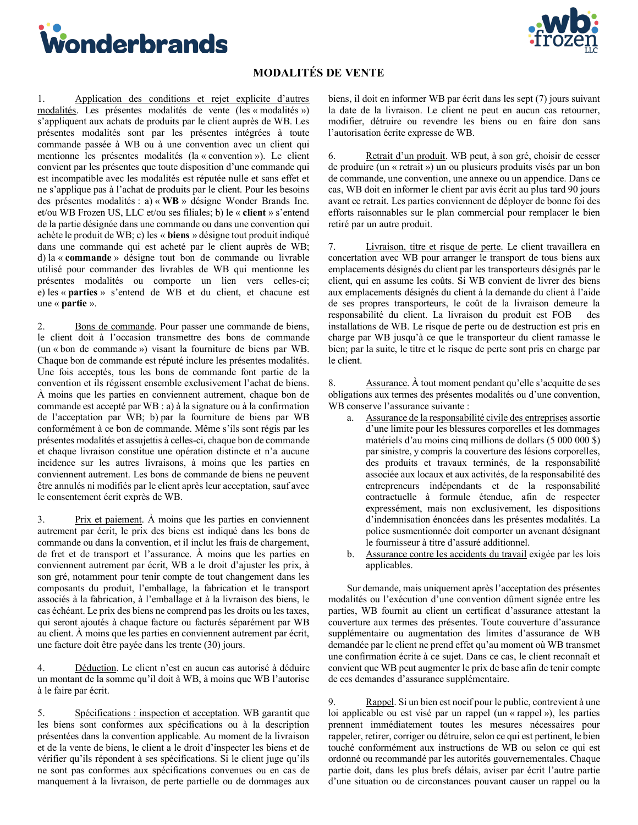<span id="page-10-0"></span>



## **MODALITÉS DE VENTE**

1. Application des conditions et rejet explicite d'autres modalités. Les présentes modalités de vente (les « modalités ») s'appliquent aux achats de produits par le client auprès de WB. Les présentes modalités sont par les présentes intégrées à toute commande passée à WB ou à une convention avec un client qui mentionne les présentes modalités (la « convention »). Le client convient par les présentes que toute disposition d'une commande qui est incompatible avec les modalités est réputée nulle et sans effet et ne s'applique pas à l'achat de produits par le client. Pour les besoins des présentes modalités : a) « **WB** » désigne Wonder Brands Inc. et/ou WB Frozen US, LLC et/ou ses filiales; b) le « **client** » s'entend de la partie désignée dans une commande ou dans une convention qui achète le produit de WB; c) les « **biens** » désigne tout produit indiqué dans une commande qui est acheté par le client auprès de WB; d) la « **commande** » désigne tout bon de commande ou livrable utilisé pour commander des livrables de WB qui mentionne les présentes modalités ou comporte un lien vers celles-ci; e) les « **parties** » s'entend de WB et du client, et chacune est une « **partie** ».

2. Bons de commande. Pour passer une commande de biens, le client doit à l'occasion transmettre des bons de commande (un « bon de commande ») visant la fourniture de biens par WB. Chaque bon de commande est réputé inclure les présentes modalités. Une fois acceptés, tous les bons de commande font partie de la convention et ils régissent ensemble exclusivement l'achat de biens. À moins que les parties en conviennent autrement, chaque bon de commande est accepté par WB : a) à la signature ou à la confirmation de l'acceptation par WB; b) par la fourniture de biens par WB conformément à ce bon de commande. Même s'ils sont régis par les présentes modalités et assujettis à celles-ci, chaque bon de commande et chaque livraison constitue une opération distincte et n'a aucune incidence sur les autres livraisons, à moins que les parties en conviennent autrement. Les bons de commande de biens ne peuvent être annulés ni modifiés par le client après leur acceptation, sauf avec le consentement écrit exprès de WB.

3. Prix et paiement. À moins que les parties en conviennent autrement par écrit, le prix des biens est indiqué dans les bons de commande ou dans la convention, et il inclut les frais de chargement, de fret et de transport et l'assurance. À moins que les parties en conviennent autrement par écrit, WB a le droit d'ajuster les prix, à son gré, notamment pour tenir compte de tout changement dans les composants du produit, l'emballage, la fabrication et le transport associés à la fabrication, à l'emballage et à la livraison des biens, le cas échéant. Le prix des biens ne comprend pas les droits ou les taxes, qui seront ajoutés à chaque facture ou facturés séparément par WB au client. À moins que les parties en conviennent autrement par écrit, une facture doit être payée dans les trente (30) jours.

4. Déduction. Le client n'est en aucun cas autorisé à déduire un montant de la somme qu'il doit à WB, à moins que WB l'autorise à le faire par écrit.

5. Spécifications : inspection et acceptation. WB garantit que les biens sont conformes aux spécifications ou à la description présentées dans la convention applicable. Au moment de la livraison et de la vente de biens, le client a le droit d'inspecter les biens et de vérifier qu'ils répondent à ses spécifications. Si le client juge qu'ils ne sont pas conformes aux spécifications convenues ou en cas de manquement à la livraison, de perte partielle ou de dommages aux

biens, il doit en informer WB par écrit dans les sept (7) jours suivant la date de la livraison. Le client ne peut en aucun cas retourner, modifier, détruire ou revendre les biens ou en faire don sans l'autorisation écrite expresse de WB.

6. Retrait d'un produit. WB peut, à son gré, choisir de cesser de produire (un « retrait ») un ou plusieurs produits visés par un bon de commande, une convention, une annexe ou un appendice. Dans ce cas, WB doit en informer le client par avis écrit au plus tard 90 jours avant ce retrait. Les parties conviennent de déployer de bonne foi des efforts raisonnables sur le plan commercial pour remplacer le bien retiré par un autre produit.

7. Livraison, titre et risque de perte. Le client travaillera en concertation avec WB pour arranger le transport de tous biens aux emplacements désignés du client par les transporteurs désignés par le client, qui en assume les coûts. Si WB convient de livrer des biens aux emplacements désignés du client à la demande du client à l'aide de ses propres transporteurs, le coût de la livraison demeure la responsabilité du client. La livraison du produit est FOB installations de WB. Le risque de perte ou de destruction est pris en charge par WB jusqu'à ce que le transporteur du client ramasse le bien; par la suite, le titre et le risque de perte sont pris en charge par le client.

8. Assurance. À tout moment pendant qu'elle s'acquitte de ses obligations aux termes des présentes modalités ou d'une convention, WB conserve l'assurance suivante :

- a. Assurance de la responsabilité civile des entreprises assortie d'une limite pour les blessures corporelles et les dommages matériels d'au moins cinq millions de dollars (5 000 000 \$) par sinistre, y compris la couverture des lésions corporelles, des produits et travaux terminés, de la responsabilité associée aux locaux et aux activités, de la responsabilité des entrepreneurs indépendants et de la responsabilité contractuelle à formule étendue, afin de respecter expressément, mais non exclusivement, les dispositions d'indemnisation énoncées dans les présentes modalités. La police susmentionnée doit comporter un avenant désignant le fournisseur à titre d'assuré additionnel.
- b. Assurance contre les accidents du travail exigée par les lois applicables.

Sur demande, mais uniquement après l'acceptation des présentes modalités ou l'exécution d'une convention dûment signée entre les parties, WB fournit au client un certificat d'assurance attestant la couverture aux termes des présentes. Toute couverture d'assurance supplémentaire ou augmentation des limites d'assurance de WB demandée par le client ne prend effet qu'au moment où WB transmet une confirmation écrite à ce sujet. Dans ce cas, le client reconnaît et convient que WB peut augmenter le prix de base afin de tenir compte de ces demandes d'assurance supplémentaire.

9. Rappel. Si un bien est nocif pour le public, contrevient à une loi applicable ou est visé par un rappel (un « rappel »), les parties prennent immédiatement toutes les mesures nécessaires pour rappeler, retirer, corriger ou détruire, selon ce qui est pertinent, le bien touché conformément aux instructions de WB ou selon ce qui est ordonné ou recommandé par les autorités gouvernementales. Chaque partie doit, dans les plus brefs délais, aviser par écrit l'autre partie d'une situation ou de circonstances pouvant causer un rappel ou la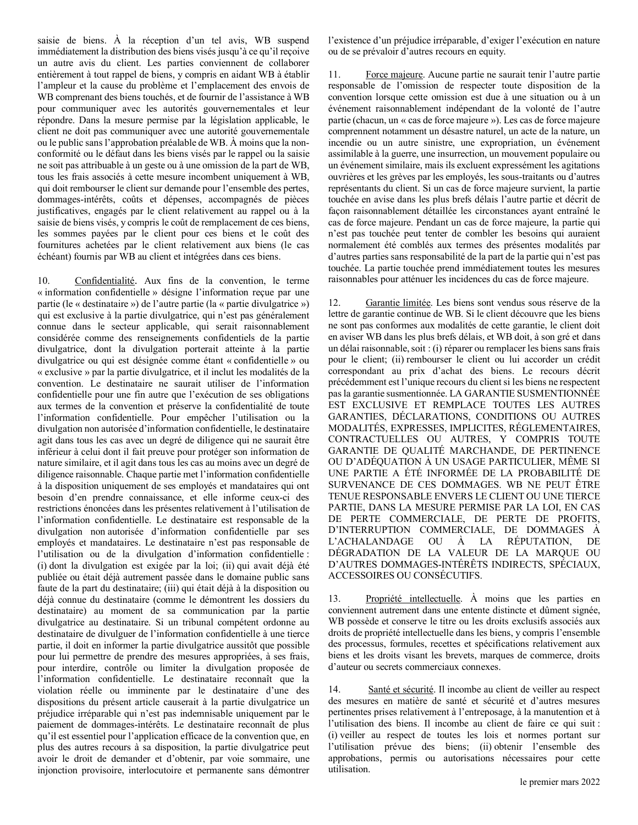saisie de biens. À la réception d'un tel avis, WB suspend immédiatement la distribution des biens visés jusqu'à ce qu'il reçoive un autre avis du client. Les parties conviennent de collaborer entièrement à tout rappel de biens, y compris en aidant WB à établir l'ampleur et la cause du problème et l'emplacement des envois de WB comprenant des biens touchés, et de fournir de l'assistance à WB pour communiquer avec les autorités gouvernementales et leur répondre. Dans la mesure permise par la législation applicable, le client ne doit pas communiquer avec une autorité gouvernementale ou le public sans l'approbation préalable de WB. À moins que la nonconformité ou le défaut dans les biens visés par le rappel ou la saisie ne soit pas attribuable à un geste ou à une omission de la part de WB, tous les frais associés à cette mesure incombent uniquement à WB, qui doit rembourser le client sur demande pour l'ensemble des pertes, dommages-intérêts, coûts et dépenses, accompagnés de pièces justificatives, engagés par le client relativement au rappel ou à la saisie de biens visés, y compris le coût de remplacement de ces biens, les sommes payées par le client pour ces biens et le coût des fournitures achetées par le client relativement aux biens (le cas échéant) fournis par WB au client et intégrées dans ces biens.

10. Confidentialité. Aux fins de la convention, le terme « information confidentielle » désigne l'information reçue par une partie (le « destinataire ») de l'autre partie (la « partie divulgatrice ») qui est exclusive à la partie divulgatrice, qui n'est pas généralement connue dans le secteur applicable, qui serait raisonnablement considérée comme des renseignements confidentiels de la partie divulgatrice, dont la divulgation porterait atteinte à la partie divulgatrice ou qui est désignée comme étant « confidentielle » ou « exclusive » par la partie divulgatrice, et il inclut les modalités de la convention. Le destinataire ne saurait utiliser de l'information confidentielle pour une fin autre que l'exécution de ses obligations aux termes de la convention et préserve la confidentialité de toute l'information confidentielle. Pour empêcher l'utilisation ou la divulgation non autorisée d'information confidentielle, le destinataire agit dans tous les cas avec un degré de diligence qui ne saurait être inférieur à celui dont il fait preuve pour protéger son information de nature similaire, et il agit dans tous les cas au moins avec un degré de diligence raisonnable. Chaque partie met l'information confidentielle à la disposition uniquement de ses employés et mandataires qui ont besoin d'en prendre connaissance, et elle informe ceux-ci des restrictions énoncées dans les présentes relativement à l'utilisation de l'information confidentielle. Le destinataire est responsable de la divulgation non autorisée d'information confidentielle par ses employés et mandataires. Le destinataire n'est pas responsable de l'utilisation ou de la divulgation d'information confidentielle : (i) dont la divulgation est exigée par la loi; (ii) qui avait déjà été publiée ou était déjà autrement passée dans le domaine public sans faute de la part du destinataire; (iii) qui était déjà à la disposition ou déjà connue du destinataire (comme le démontrent les dossiers du destinataire) au moment de sa communication par la partie divulgatrice au destinataire. Si un tribunal compétent ordonne au destinataire de divulguer de l'information confidentielle à une tierce partie, il doit en informer la partie divulgatrice aussitôt que possible pour lui permettre de prendre des mesures appropriées, à ses frais, pour interdire, contrôle ou limiter la divulgation proposée de l'information confidentielle. Le destinataire reconnaît que la violation réelle ou imminente par le destinataire d'une des dispositions du présent article causerait à la partie divulgatrice un préjudice irréparable qui n'est pas indemnisable uniquement par le paiement de dommages-intérêts. Le destinataire reconnaît de plus qu'il est essentiel pour l'application efficace de la convention que, en plus des autres recours à sa disposition, la partie divulgatrice peut avoir le droit de demander et d'obtenir, par voie sommaire, une injonction provisoire, interlocutoire et permanente sans démontrer

l'existence d'un préjudice irréparable, d'exiger l'exécution en nature ou de se prévaloir d'autres recours en equity.

11. Force majeure. Aucune partie ne saurait tenir l'autre partie responsable de l'omission de respecter toute disposition de la convention lorsque cette omission est due à une situation ou à un événement raisonnablement indépendant de la volonté de l'autre partie (chacun, un « cas de force majeure »). Les cas de force majeure comprennent notamment un désastre naturel, un acte de la nature, un incendie ou un autre sinistre, une expropriation, un événement assimilable à la guerre, une insurrection, un mouvement populaire ou un événement similaire, mais ils excluent expressément les agitations ouvrières et les grèves par les employés, les sous-traitants ou d'autres représentants du client. Si un cas de force majeure survient, la partie touchée en avise dans les plus brefs délais l'autre partie et décrit de façon raisonnablement détaillée les circonstances ayant entraîné le cas de force majeure. Pendant un cas de force majeure, la partie qui n'est pas touchée peut tenter de combler les besoins qui auraient normalement été comblés aux termes des présentes modalités par d'autres parties sans responsabilité de la part de la partie qui n'est pas touchée. La partie touchée prend immédiatement toutes les mesures raisonnables pour atténuer les incidences du cas de force majeure.

12. Garantie limitée. Les biens sont vendus sous réserve de la lettre de garantie continue de WB. Si le client découvre que les biens ne sont pas conformes aux modalités de cette garantie, le client doit en aviser WB dans les plus brefs délais, et WB doit, à son gré et dans un délai raisonnable, soit : (i) réparer ou remplacer les biens sans frais pour le client; (ii) rembourser le client ou lui accorder un crédit correspondant au prix d'achat des biens. Le recours décrit précédemment est l'unique recours du client si les biens ne respectent pas la garantie susmentionnée. LA GARANTIE SUSMENTIONNÉE EST EXCLUSIVE ET REMPLACE TOUTES LES AUTRES GARANTIES, DÉCLARATIONS, CONDITIONS OU AUTRES MODALITÉS, EXPRESSES, IMPLICITES, RÉGLEMENTAIRES, CONTRACTUELLES OU AUTRES, Y COMPRIS TOUTE GARANTIE DE QUALITÉ MARCHANDE, DE PERTINENCE OU D'ADÉQUATION À UN USAGE PARTICULIER, MÊME SI UNE PARTIE A ÉTÉ INFORMÉE DE LA PROBABILITÉ DE SURVENANCE DE CES DOMMAGES. WB NE PEUT ÊTRE TENUE RESPONSABLE ENVERS LE CLIENT OU UNE TIERCE PARTIE, DANS LA MESURE PERMISE PAR LA LOI, EN CAS DE PERTE COMMERCIALE, DE PERTE DE PROFITS, D'INTERRUPTION COMMERCIALE, DE DOMMAGES À L'ACHALANDAGE OU À LA RÉPUTATION, DE DÉGRADATION DE LA VALEUR DE LA MARQUE OU D'AUTRES DOMMAGES-INTÉRÊTS INDIRECTS, SPÉCIAUX, ACCESSOIRES OU CONSÉCUTIFS.

13. Propriété intellectuelle. À moins que les parties en conviennent autrement dans une entente distincte et dûment signée, WB possède et conserve le titre ou les droits exclusifs associés aux droits de propriété intellectuelle dans les biens, y compris l'ensemble des processus, formules, recettes et spécifications relativement aux biens et les droits visant les brevets, marques de commerce, droits d'auteur ou secrets commerciaux connexes.

14. Santé et sécurité. Il incombe au client de veiller au respect des mesures en matière de santé et sécurité et d'autres mesures pertinentes prises relativement à l'entreposage, à la manutention et à l'utilisation des biens. Il incombe au client de faire ce qui suit : (i) veiller au respect de toutes les lois et normes portant sur l'utilisation prévue des biens; (ii) obtenir l'ensemble des approbations, permis ou autorisations nécessaires pour cette utilisation.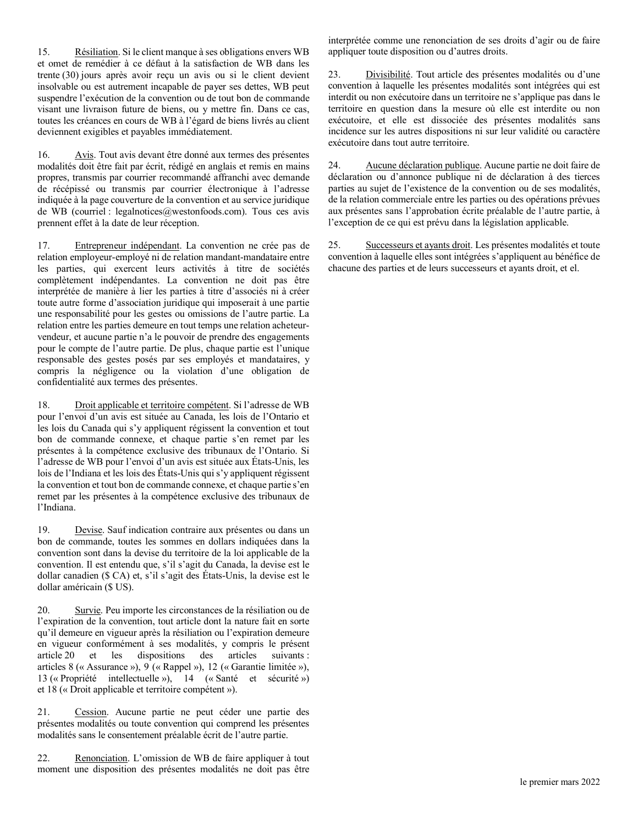15. Résiliation. Si le client manque à ses obligations envers WB et omet de remédier à ce défaut à la satisfaction de WB dans les trente (30) jours après avoir reçu un avis ou si le client devient insolvable ou est autrement incapable de payer ses dettes, WB peut suspendre l'exécution de la convention ou de tout bon de commande visant une livraison future de biens, ou y mettre fin. Dans ce cas, toutes les créances en cours de WB à l'égard de biens livrés au client deviennent exigibles et payables immédiatement.

16. Avis. Tout avis devant être donné aux termes des présentes modalités doit être fait par écrit, rédigé en anglais et remis en mains propres, transmis par courrier recommandé affranchi avec demande de récépissé ou transmis par courrier électronique à l'adresse indiquée à la page couverture de la convention et au service juridique de WB (courriel : legalnotices@westonfoods.com). Tous ces avis prennent effet à la date de leur réception.

17. Entrepreneur indépendant. La convention ne crée pas de relation employeur-employé ni de relation mandant-mandataire entre les parties, qui exercent leurs activités à titre de sociétés complètement indépendantes. La convention ne doit pas être interprétée de manière à lier les parties à titre d'associés ni à créer toute autre forme d'association juridique qui imposerait à une partie une responsabilité pour les gestes ou omissions de l'autre partie. La relation entre les parties demeure en tout temps une relation acheteurvendeur, et aucune partie n'a le pouvoir de prendre des engagements pour le compte de l'autre partie. De plus, chaque partie est l'unique responsable des gestes posés par ses employés et mandataires, y compris la négligence ou la violation d'une obligation de confidentialité aux termes des présentes.

18. Droit applicable et territoire compétent. Si l'adresse de WB pour l'envoi d'un avis est située au Canada, les lois de l'Ontario et les lois du Canada qui s'y appliquent régissent la convention et tout bon de commande connexe, et chaque partie s'en remet par les présentes à la compétence exclusive des tribunaux de l'Ontario. Si l'adresse de WB pour l'envoi d'un avis est située aux États-Unis, les lois de l'Indiana et les lois des États-Unis qui s'y appliquent régissent la convention et tout bon de commande connexe, et chaque partie s'en remet par les présentes à la compétence exclusive des tribunaux de l'Indiana.

19. Devise. Sauf indication contraire aux présentes ou dans un bon de commande, toutes les sommes en dollars indiquées dans la convention sont dans la devise du territoire de la loi applicable de la convention. Il est entendu que, s'il s'agit du Canada, la devise est le dollar canadien (\$ CA) et, s'il s'agit des États-Unis, la devise est le dollar américain (\$ US).

20. Survie. Peu importe les circonstances de la résiliation ou de l'expiration de la convention, tout article dont la nature fait en sorte qu'il demeure en vigueur après la résiliation ou l'expiration demeure en vigueur conformément à ses modalités, y compris le présent article 20 et les dispositions des articles suivants : articles 8 (« Assurance »), 9 (« Rappel »), 12 (« Garantie limitée »), 13 (« Propriété intellectuelle »), 14 (« Santé et sécurité ») et 18 (« Droit applicable et territoire compétent »).

21. Cession. Aucune partie ne peut céder une partie des présentes modalités ou toute convention qui comprend les présentes modalités sans le consentement préalable écrit de l'autre partie.

22. Renonciation. L'omission de WB de faire appliquer à tout moment une disposition des présentes modalités ne doit pas être interprétée comme une renonciation de ses droits d'agir ou de faire appliquer toute disposition ou d'autres droits.

23. Divisibilité. Tout article des présentes modalités ou d'une convention à laquelle les présentes modalités sont intégrées qui est interdit ou non exécutoire dans un territoire ne s'applique pas dans le territoire en question dans la mesure où elle est interdite ou non exécutoire, et elle est dissociée des présentes modalités sans incidence sur les autres dispositions ni sur leur validité ou caractère exécutoire dans tout autre territoire.

24. Aucune déclaration publique. Aucune partie ne doit faire de déclaration ou d'annonce publique ni de déclaration à des tierces parties au sujet de l'existence de la convention ou de ses modalités, de la relation commerciale entre les parties ou des opérations prévues aux présentes sans l'approbation écrite préalable de l'autre partie, à l'exception de ce qui est prévu dans la législation applicable.

25. Successeurs et ayants droit. Les présentes modalités et toute convention à laquelle elles sont intégrées s'appliquent au bénéfice de chacune des parties et de leurs successeurs et ayants droit, et el.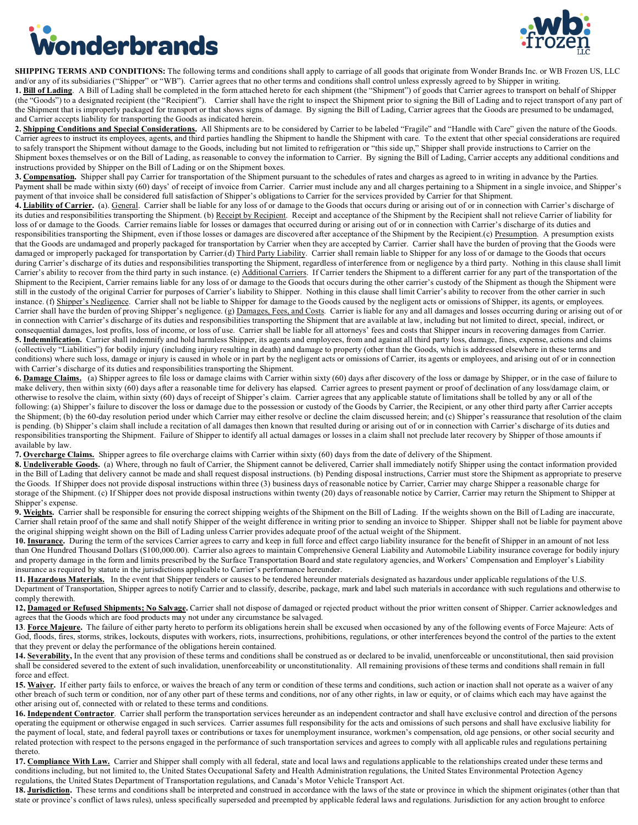<span id="page-13-0"></span>



**SHIPPING TERMS AND CONDITIONS:** The following terms and conditions shall apply to carriage of all goods that originate from Wonder Brands Inc. or WB Frozen US, LLC and/or any of its subsidiaries ("Shipper" or "WB"). Carrier agrees that no other terms and conditions shall control unless expressly agreed to by Shipper in writing. **1. Bill of Lading**. A Bill of Lading shall be completed in the form attached hereto for each shipment (the "Shipment") of goods that Carrier agrees to transport on behalf of Shipper (the "Goods") to a designated recipient (the "Recipient"). Carrier shall have the right to inspect the Shipment prior to signing the Bill of Lading and to reject transport of any part of the Shipment that is improperly packaged for transport or that shows signs of damage. By signing the Bill of Lading, Carrier agrees that the Goods are presumed to be undamaged,

and Carrier accepts liability for transporting the Goods as indicated herein. **2. Shipping Conditions and Special Considerations.** All Shipments are to be considered by Carrier to be labeled "Fragile" and "Handle with Care" given the nature of the Goods. Carrier agrees to instruct its employees, agents, and third parties handling the Shipment to handle the Shipment with care. To the extent that other special considerations are required to safely transport the Shipment without damage to the Goods, including but not limited to refrigeration or "this side up," Shipper shall provide instructions to Carrier on the Shipment boxes themselves or on the Bill of Lading, as reasonable to convey the information to Carrier. By signing the Bill of Lading, Carrier accepts any additional conditions and

instructions provided by Shipper on the Bill of Lading or on the Shipment boxes. **3. Compensation.** Shipper shall pay Carrier for transportation of the Shipment pursuant to the schedules of rates and charges as agreed to in writing in advance by the Parties. Payment shall be made within sixty (60) days' of receipt of invoice from Carrier. Carrier must include any and all charges pertaining to a Shipment in a single invoice, and Shipper's payment of that invoice shall be considered full satisfaction of Shipper's obligations to Carrier for the services provided by Carrier for that Shipment.

4. Liability of Carrier. (a). General. Carrier shall be liable for any loss of or damage to the Goods that occurs during or arising out of or in connection with Carrier's discharge of its duties and responsibilities transporting the Shipment. (b) Receipt by Receiptent. Receipt and acceptance of the Shipment by the Recipient shall not relieve Carrier of liability for loss of or damage to the Goods. Carrier remains liable for losses or damages that occurred during or arising out of or in connection with Carrier's discharge of its duties and responsibilities transporting the Shipment, even if those losses or damages are discovered after acceptance of the Shipment by the Recipient.(c) Presumption. A presumption exists that the Goods are undamaged and properly packaged for transportation by Carrier when they are accepted by Carrier. Carrier shall have the burden of proving that the Goods were damaged or improperly packaged for transportation by Carrier.(d) Third Party Liability. Carrier shall remain liable to Shipper for any loss of or damage to the Goods that occurs during Carrier's discharge of its duties and responsibilities transporting the Shipment, regardless of interference from or negligence by a third party. Nothing in this clause shall limit Carrier's ability to recover from the third party in such instance. (e) Additional Carriers. If Carrier tenders the Shipment to a different carrier for any part of the transportation of the Shipment to the Recipient, Carrier remains liable for any loss of or damage to the Goods that occurs during the other carrier's custody of the Shipment as though the Shipment were still in the custody of the original Carrier for purposes of Carrier's liability to Shipper. Nothing in this clause shall limit Carrier's ability to recover from the other carrier in such instance. (f) Shipper's Negligence. Carrier shall not be liable to Shipper for damage to the Goods caused by the negligent acts or omissions of Shipper, its agents, or employees. Carrier shall have the burden of proving Shipper's negligence. (g) Damages, Fees, and Costs. Carrier is liable for any and all damages and losses occurring during or arising out of or in connection with Carrier's discharge of its duties and responsibilities transporting the Shipment that are available at law, including but not limited to direct, special, indirect, or consequential damages, lost profits, loss of income, or loss of use. Carrier shall be liable for all attorneys' fees and costs that Shipper incurs in recovering damages from Carrier. 5. Indemnification. Carrier shall indemnify and hold harmless Shipper, its agents and employees, from and against all third party loss, damage, fines, expense, actions and claims (collectively "Liabilities") for bodily injury (including injury resulting in death) and damage to property (other than the Goods, which is addressed elsewhere in these terms and conditions) where such loss, damage or injury is caused in whole or in part by the negligent acts or omissions of Carrier, its agents or employees, and arising out of or in connection with Carrier's discharge of its duties and responsibilities transporting the Shipment.

**6. Damage Claims.** (a) Shipper agrees to file loss or damage claims with Carrier within sixty (60) days after discovery of the loss or damage by Shipper, or in the case of failure to make delivery, then within sixty (60) days after a reasonable time for delivery has elapsed. Carrier agrees to present payment or proof of declination of any loss/damage claim, or otherwise to resolve the claim, within sixty (60) days of receipt of Shipper's claim. Carrier agrees that any applicable statute of limitations shall be tolled by any or all of the following: (a) Shipper's failure to discover the loss or damage due to the possession or custody of the Goods by Carrier, the Recipient, or any other third party after Carrier accepts the Shipment; (b) the 60-day resolution period under which Carrier may either resolve or decline the claim discussed herein; and (c) Shipper's reassurance that resolution of the claim is pending. (b) Shipper's claim shall include a recitation of all damages then known that resulted during or arising out of or in connection with Carrier's discharge of its duties and responsibilities transporting the Shipment. Failure of Shipper to identify all actual damages or losses in a claim shall not preclude later recovery by Shipper of those amounts if available by law.

**7. Overcharge Claims.** Shipper agrees to file overcharge claims with Carrier within sixty (60) days from the date of delivery of the Shipment.

8. Undeliverable Goods. (a) Where, through no fault of Carrier, the Shipment cannot be delivered, Carrier shall immediately notify Shipper using the contact information provided in the Bill of Lading that delivery cannot be made and shall request disposal instructions. (b) Pending disposal instructions, Carrier must store the Shipment as appropriate to preserve the Goods. If Shipper does not provide disposal instructions within three (3) business days of reasonable notice by Carrier, Carrier may charge Shipper a reasonable charge for storage of the Shipment. (c) If Shipper does not provide disposal instructions within twenty (20) days of reasonable notice by Carrier, Carrier may return the Shipment to Shipper at Shipper's expense.

9. Weights. Carrier shall be responsible for ensuring the correct shipping weights of the Shipment on the Bill of Lading. If the weights shown on the Bill of Lading are inaccurate, Carrier shall retain proof of the same and shall notify Shipper of the weight difference in writing prior to sending an invoice to Shipper. Shipper shall not be liable for payment above the original shipping weight shown on the Bill of Lading unless Carrier provides adequate proof of the actual weight of the Shipment.

**10. Insurance.** During the term of the services Carrier agrees to carry and keep in full force and effect cargo liability insurance for the benefit of Shipper in an amount of not less than One Hundred Thousand Dollars (\$100,000.00). Carrier also agrees to maintain Comprehensive General Liability and Automobile Liability insurance coverage for bodily injury and property damage in the form and limits prescribed by the Surface Transportation Board and state regulatory agencies, and Workers' Compensation and Employer's Liability insurance as required by statute in the jurisdictions applicable to Carrier's performance hereunder.

**11. Hazardous Materials.** In the event that Shipper tenders or causes to be tendered hereunder materials designated as hazardous under applicable regulations of the U.S. Department of Transportation, Shipper agrees to notify Carrier and to classify, describe, package, mark and label such materials in accordance with such regulations and otherwise to comply therewith.

**12, Damaged or Refused Shipments; No Salvage.** Carrier shall not dispose of damaged or rejected product without the prior written consent of Shipper. Carrier acknowledges and agrees that the Goods which are food products may not under any circumstance be salvaged.

**13**. **Force Majeure.** The failure of either party hereto to perform its obligations herein shall be excused when occasioned by any of the following events of Force Majeure: Acts of God, floods, fires, storms, strikes, lockouts, disputes with workers, riots, insurrections, prohibitions, regulations, or other interferences beyond the control of the parties to the extent that they prevent or delay the performance of the obligations herein contained.

14. Severability, In the event that any provision of these terms and conditions shall be construed as or declared to be invalid, unenforceable or unconstitutional, then said provision shall be considered severed to the extent of such invalidation, unenforceability or unconstitutionality. All remaining provisions of these terms and conditions shall remain in full force and effect.

15. Waiver. If either party fails to enforce, or waives the breach of any term or condition of these terms and conditions, such action or inaction shall not operate as a waiver of any other breach of such term or condition, nor of any other part of these terms and conditions, nor of any other rights, in law or equity, or of claims which each may have against the other arising out of, connected with or related to these terms and conditions.

16. Independent Contractor. Carrier shall perform the transportation services hereunder as an independent contractor and shall have exclusive control and direction of the persons operating the equipment or otherwise engaged in such services. Carrier assumes full responsibility for the acts and omissions of such persons and shall have exclusive liability for the payment of local, state, and federal payroll taxes or contributions or taxes for unemployment insurance, workmen's compensation, old age pensions, or other social security and related protection with respect to the persons engaged in the performance of such transportation services and agrees to comply with all applicable rules and regulations pertaining thereto.

17. Compliance With Law. Carrier and Shipper shall comply with all federal, state and local laws and regulations applicable to the relationships created under these terms and conditions including, but not limited to, the United States Occupational Safety and Health Administration regulations, the United States Environmental Protection Agency regulations, the United States Department of Transportation regulations, and Canada's Motor Vehicle Transport Act.

**18. Jurisdiction.** These terms and conditions shall be interpreted and construed in accordance with the laws of the state or province in which the shipment originates (other than that state or province's conflict of laws rules), unless specifically superseded and preempted by applicable federal laws and regulations. Jurisdiction for any action brought to enforce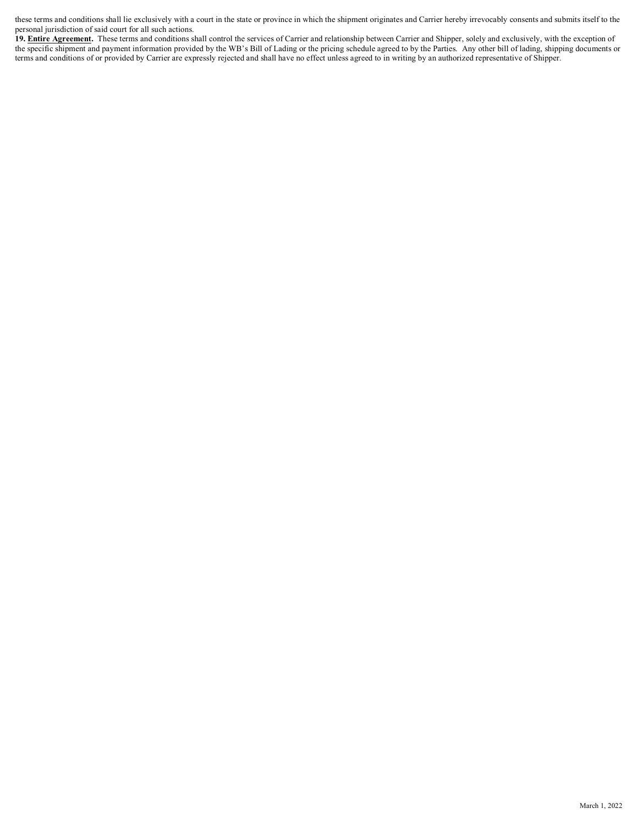these terms and conditions shall lie exclusively with a court in the state or province in which the shipment originates and Carrier hereby irrevocably consents and submits itself to the personal jurisdiction of said court for all such actions.

19. **Entire Agreement**. These terms and conditions shall control the services of Carrier and relationship between Carrier and Shipper, solely and exclusively, with the exception of the specific shipment and payment information provided by the WB's Bill of Lading or the pricing schedule agreed to by the Parties. Any other bill of lading, shipping documents or terms and conditions of or provided by Carrier are expressly rejected and shall have no effect unless agreed to in writing by an authorized representative of Shipper.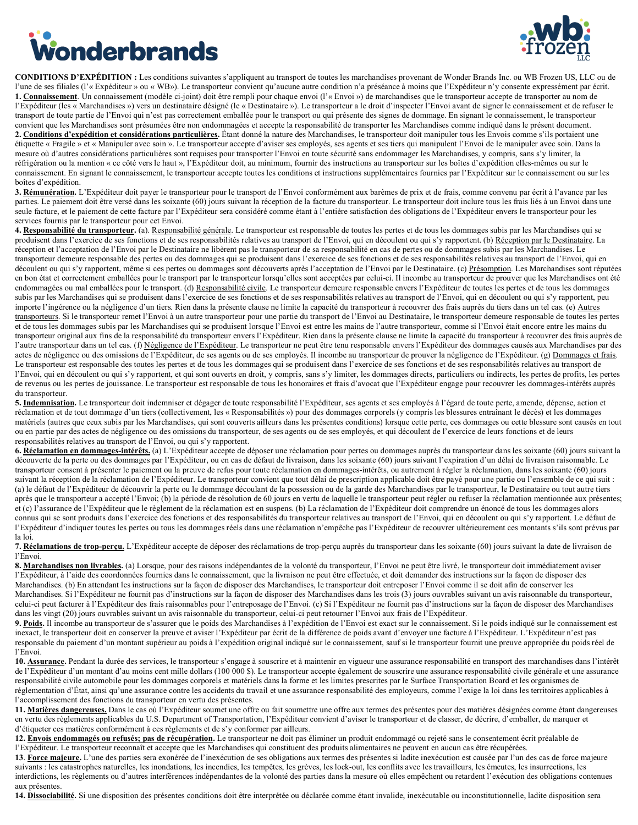# <span id="page-15-0"></span>**Vonderbrands**



**CONDITIONS D'EXPÉDITION :** Les conditions suivantes s'appliquent au transport de toutes les marchandises provenant de Wonder Brands Inc. ou WB Frozen US, LLC ou de l'une de ses filiales (l'« Expéditeur » ou « WB»). Le transporteur convient qu'aucune autre condition n'a préséance à moins que l'Expéditeur n'y consente expressément par écrit. **1. Connaissement**. Un connaissement (modèle ci-joint) doit être rempli pour chaque envoi (l'« Envoi ») de marchandises que le transporteur accepte de transporter au nom de l'Expéditeur (les « Marchandises ») vers un destinataire désigné (le « Destinataire »). Le transporteur a le droit d'inspecter l'Envoi avant de signer le connaissement et de refuser le transport de toute partie de l'Envoi qui n'est pas correctement emballée pour le transport ou qui présente des signes de dommage. En signant le connaissement, le transporteur convient que les Marchandises sont présumées être non endommagées et accepte la responsabilité de transporter les Marchandises comme indiqué dans le présent document. 2. Conditions d'expédition et considérations particulières. Étant donné la nature des Marchandises, le transporteur doit manipuler tous les Envois comme s'ils portaient une étiquette « Fragile » et « Manipuler avec soin ». Le transporteur accepte d'aviser ses employés, ses agents et ses tiers qui manipulent l'Envoi de le manipuler avec soin. Dans la mesure où d'autres considérations particulières sont requises pour transporter l'Envoi en toute sécurité sans endommager les Marchandises, y compris, sans s'y limiter, la réfrigération ou la mention « ce côté vers le haut », l'Expéditeur doit, au minimum, fournir des instructions au transporteur sur les boîtes d'expédition elles-mêmes ou sur le connaissement. En signant le connaissement, le transporteur accepte toutes les conditions et instructions supplémentaires fournies par l'Expéditeur sur le connaissement ou sur les boîtes d'expédition.

3. Rémunération. L'Expéditeur doit payer le transporteur pour le transport de l'Envoi conformément aux barèmes de prix et de frais, comme convenu par écrit à l'avance par les parties. Le paiement doit être versé dans les soixante (60) jours suivant la réception de la facture du transporteur. Le transporteur doit inclure tous les frais liés à un Envoi dans une seule facture, et le paiement de cette facture par l'Expéditeur sera considéré comme étant à l'entière satisfaction des obligations de l'Expéditeur envers le transporteur pour les services fournis par le transporteur pour cet Envoi.

4. Responsabilité du transporteur. (a). Responsabilité générale. Le transporteur est responsable de toutes les pertes et de tous les dommages subis par les Marchandises qui se produisent dans l'exercice de ses fonctions et de ses responsabilités relatives au transport de l'Envoi, qui en découlent ou qui s'y rapportent. (b) Réception par le Destinataire. La réception et l'acceptation de l'Envoi par le Destinataire ne libèrent pas le transporteur de sa responsabilité en cas de pertes ou de dommages subis par les Marchandises. Le transporteur demeure responsable des pertes ou des dommages qui se produisent dans l'exercice de ses fonctions et de ses responsabilités relatives au transport de l'Envoi, qui en découlent ou qui s'y rapportent, même si ces pertes ou dommages sont découverts après l'acceptation de l'Envoi par le Destinataire. (c) Présomption. Les Marchandises sont réputées en bon état et correctement emballées pour le transport par le transporteur lorsqu'elles sont acceptées par celui-ci. Il incombe au transporteur de prouver que les Marchandises ont été endommagées ou mal emballées pour le transport. (d) Responsabilité civile. Le transporteur demeure responsable envers l'Expéditeur de toutes les pertes et de tous les dommages subis par les Marchandises qui se produisent dans l'exercice de ses fonctions et de ses responsabilités relatives au transport de l'Envoi, qui en découlent ou qui s'y rapportent, peu importe l'ingérence ou la négligence d'un tiers. Rien dans la présente clause ne limite la capacité du transporteur à recouvrer des frais auprès du tiers dans un tel cas. (e) Autres transporteurs. Si le transporteur remet l'Envoi à un autre transporteur pour une partie du transport de l'Envoi au Destinataire, le transporteur demeure responsable de toutes les pertes et de tous les dommages subis par les Marchandises qui se produisent lorsque l'Envoi est entre les mains de l'autre transporteur, comme si l'Envoi était encore entre les mains du transporteur original aux fins de la responsabilité du transporteur envers l'Expéditeur. Rien dans la présente clause ne limite la capacité du transporteur à recouvrer des frais auprès de l'autre transporteur dans un tel cas. (f) Négligence de l'Expéditeur. Le transporteur ne peut être tenu responsable envers l'Expéditeur des dommages causés aux Marchandises par des actes de négligence ou des omissions de l'Expéditeur, de ses agents ou de ses employés. Il incombe au transporteur de prouver la négligence de l'Expéditeur. (g) Dommages et frais. Le transporteur est responsable des toutes les pertes et de tous les dommages qui se produisent dans l'exercice de ses fonctions et de ses responsabilités relatives au transport de l'Envoi, qui en découlent ou qui s'y rapportent, et qui sont ouverts en droit, y compris, sans s'y limiter, les dommages directs, particuliers ou indirects, les pertes de profits, les pertes de revenus ou les pertes de jouissance. Le transporteur est responsable de tous les honoraires et frais d'avocat que l'Expéditeur engage pour recouvrer les dommages-intérêts auprès du transporteur.

5. Indemnisation. Le transporteur doit indemniser et dégager de toute responsabilité l'Expéditeur, ses agents et ses employés à l'égard de toute perte, amende, dépense, action et réclamation et de tout dommage d'un tiers (collectivement, les « Responsabilités ») pour des dommages corporels (y compris les blessures entraînant le décès) et les dommages matériels (autres que ceux subis par les Marchandises, qui sont couverts ailleurs dans les présentes conditions) lorsque cette perte, ces dommages ou cette blessure sont causés en tout ou en partie par des actes de négligence ou des omissions du transporteur, de ses agents ou de ses employés, et qui découlent de l'exercice de leurs fonctions et de leurs responsabilités relatives au transport de l'Envoi, ou qui s'y rapportent.

**6. Réclamation en dommages-intérêts.** (a) L'Expéditeur accepte de déposer une réclamation pour pertes ou dommages auprès du transporteur dans les soixante (60) jours suivant la découverte de la perte ou des dommages par l'Expéditeur, ou en cas de défaut de livraison, dans les soixante (60) jours suivant l'expiration d'un délai de livraison raisonnable. Le transporteur consent à présenter le paiement ou la preuve de refus pour toute réclamation en dommages-intérêts, ou autrement à régler la réclamation, dans les soixante (60) jours suivant la réception de la réclamation de l'Expéditeur. Le transporteur convient que tout délai de prescription applicable doit être payé pour une partie ou l'ensemble de ce qui suit : (a) le défaut de l'Expéditeur de découvrir la perte ou le dommage découlant de la possession ou de la garde des Marchandises par le transporteur, le Destinataire ou tout autre tiers après que le transporteur a accepté l'Envoi; (b) la période de résolution de 60 jours en vertu de laquelle le transporteur peut régler ou refuser la réclamation mentionnée aux présentes; et (c) l'assurance de l'Expéditeur que le règlement de la réclamation est en suspens. (b) La réclamation de l'Expéditeur doit comprendre un énoncé de tous les dommages alors connus qui se sont produits dans l'exercice des fonctions et des responsabilités du transporteur relatives au transport de l'Envoi, qui en découlent ou qui s'y rapportent. Le défaut de l'Expéditeur d'indiquer toutes les pertes ou tous les dommages réels dans une réclamation n'empêche pas l'Expéditeur de recouvrer ultérieurement ces montants s'ils sont prévus par la loi.

**7. Réclamations de trop-perçu.** L'Expéditeur accepte de déposer des réclamations de trop-perçu auprès du transporteur dans les soixante (60) jours suivant la date de livraison de l'Envoi.

8. Marchandises non livrables. (a) Lorsque, pour des raisons indépendantes de la volonté du transporteur, l'Envoi ne peut être livré, le transporteur doit immédiatement aviser l'Expéditeur, à l'aide des coordonnées fournies dans le connaissement, que la livraison ne peut être effectuée, et doit demander des instructions sur la façon de disposer des Marchandises. (b) En attendant les instructions sur la façon de disposer des Marchandises, le transporteur doit entreposer l'Envoi comme il se doit afin de conserver les Marchandises. Si l'Expéditeur ne fournit pas d'instructions sur la façon de disposer des Marchandises dans les trois (3) jours ouvrables suivant un avis raisonnable du transporteur, celui-ci peut facturer à l'Expéditeur des frais raisonnables pour l'entreposage de l'Envoi. (c) Si l'Expéditeur ne fournit pas d'instructions sur la façon de disposer des Marchandises dans les vingt (20) jours ouvrables suivant un avis raisonnable du transporteur, celui-ci peut retourner l'Envoi aux frais de l'Expéditeur.

**9. Poids.** Il incombe au transporteur de s'assurer que le poids des Marchandises à l'expédition de l'Envoi est exact sur le connaissement. Si le poids indiqué sur le connaissement est inexact, le transporteur doit en conserver la preuve et aviser l'Expéditeur par écrit de la différence de poids avant d'envoyer une facture à l'Expéditeur. L'Expéditeur n'est pas responsable du paiement d'un montant supérieur au poids à l'expédition original indiqué sur le connaissement, sauf si le transporteur fournit une preuve appropriée du poids réel de l'Envoi.

**10. Assurance.** Pendant la durée des services, le transporteur s'engage à souscrire et à maintenir en vigueur une assurance responsabilité en transport des marchandises dans l'intérêt de l'Expéditeur d'un montant d'au moins cent mille dollars (100 000 \$). Le transporteur accepte également de souscrire une assurance responsabilité civile générale et une assurance responsabilité civile automobile pour les dommages corporels et matériels dans la forme et les limites prescrites par le Surface Transportation Board et les organismes de réglementation d'État, ainsi qu'une assurance contre les accidents du travail et une assurance responsabilité des employeurs, comme l'exige la loi dans les territoires applicables à l'accomplissement des fonctions du transporteur en vertu des présentes.

**11. Matières dangereuses.** Dans le cas où l'Expéditeur soumet une offre ou fait soumettre une offre aux termes des présentes pour des matières désignées comme étant dangereuses en vertu des règlements applicables du U.S. Department of Transportation, l'Expéditeur convient d'aviser le transporteur et de classer, de décrire, d'emballer, de marquer et d'étiqueter ces matières conformément à ces règlements et de s'y conformer par ailleurs.

**12. Envois endommagés ou refusés; pas de récupération.** Le transporteur ne doit pas éliminer un produit endommagé ou rejeté sans le consentement écrit préalable de l'Expéditeur. Le transporteur reconnaît et accepte que les Marchandises qui constituent des produits alimentaires ne peuvent en aucun cas être récupérées.

**13**. **Force majeure.** L'une des parties sera exonérée de l'inexécution de ses obligations aux termes des présentes si ladite inexécution est causée par l'un des cas de force majeure suivants : les catastrophes naturelles, les inondations, les incendies, les tempêtes, les grèves, les lock-out, les conflits avec les travailleurs, les émeutes, les insurrections, les interdictions, les règlements ou d'autres interférences indépendantes de la volonté des parties dans la mesure où elles empêchent ou retardent l'exécution des obligations contenues aux présentes.

**14. Dissociabilité.** Si une disposition des présentes conditions doit être interprétée ou déclarée comme étant invalide, inexécutable ou inconstitutionnelle, ladite disposition sera